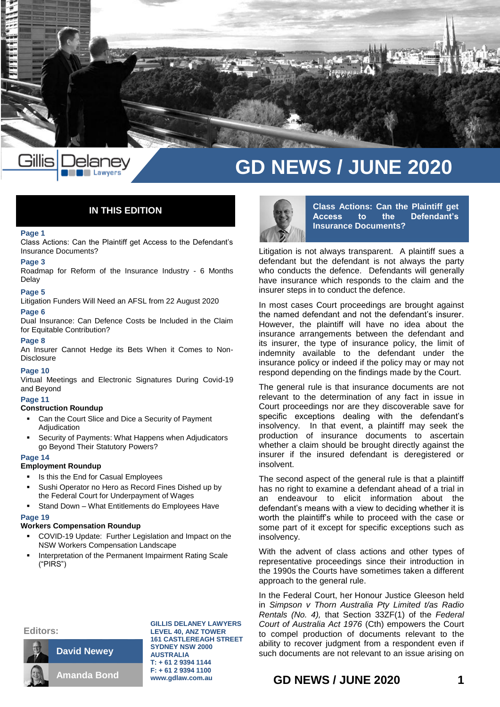

# **GD NEWS / JUNE 2020**

# **IN THIS EDITION**

Lawyers

#### **Page 1**

Class Actions: Can the Plaintiff get Access to the Defendant's Insurance Documents?

# **Page 3**

Roadmap for Reform of the Insurance Industry - 6 Months Delay

#### **Page 5**

Litigation Funders Will Need an AFSL from 22 August 2020

# **Page 6**

Dual Insurance: Can Defence Costs be Included in the Claim for Equitable Contribution?

# **Page 8**

An Insurer Cannot Hedge its Bets When it Comes to Non-Disclosure

#### **Page 10**

Virtual Meetings and Electronic Signatures During Covid-19 and Beyond

# **Page 11**

# **Construction Roundup**

- Can the Court Slice and Dice a Security of Payment Adjudication
- Security of Payments: What Happens when Adjudicators go Beyond Their Statutory Powers?

## **Page 14**

# **Employment Roundup**

- Is this the End for Casual Employees
- Sushi Operator no Hero as Record Fines Dished up by the Federal Court for Underpayment of Wages
- Stand Down What Entitlements do Employees Have

### **Page 19**

# **Workers Compensation Roundup**

**David Newey**

**Amanda Bond**

- COVID-19 Update: Further Legislation and Impact on the NSW Workers Compensation Landscape
- Interpretation of the Permanent Impairment Rating Scale ("PIRS")

**Class Actions: Can the Plaintiff get Access to the Defendant's Insurance Documents?**

Litigation is not always transparent. A plaintiff sues a defendant but the defendant is not always the party who conducts the defence. Defendants will generally have insurance which responds to the claim and the insurer steps in to conduct the defence.

In most cases Court proceedings are brought against the named defendant and not the defendant's insurer. However, the plaintiff will have no idea about the insurance arrangements between the defendant and its insurer, the type of insurance policy, the limit of indemnity available to the defendant under the insurance policy or indeed if the policy may or may not respond depending on the findings made by the Court.

The general rule is that insurance documents are not relevant to the determination of any fact in issue in Court proceedings nor are they discoverable save for specific exceptions dealing with the defendant's insolvency. In that event, a plaintiff may seek the production of insurance documents to ascertain whether a claim should be brought directly against the insurer if the insured defendant is deregistered or insolvent.

The second aspect of the general rule is that a plaintiff has no right to examine a defendant ahead of a trial in an endeavour to elicit information about the defendant's means with a view to deciding whether it is worth the plaintiff's while to proceed with the case or some part of it except for specific exceptions such as insolvency.

With the advent of class actions and other types of representative proceedings since their introduction in the 1990s the Courts have sometimes taken a different approach to the general rule.

In the Federal Court, her Honour Justice Gleeson held in *Simpson v Thorn Australia Pty Limited t/as Radio Rentals (No. 4),* that Section 33ZF(1) of the *Federal Court of Australia Act 1976* (Cth) empowers the Court to compel production of documents relevant to the ability to recover judgment from a respondent even if such documents are not relevant to an issue arising on

### **Editors:**



**GILLIS DELANEY LAWYERS LEVEL 40, ANZ TOWER 161 CASTLEREAGH STREET SYDNEY NSW 2000 AUSTRALIA T: + 61 2 9394 1144 F: + 61 2 9394 1100 www.gdlaw.com.au**

# **GD NEWS / {DTN\S1952013:1} JUNE 2020GDGHDDDD1**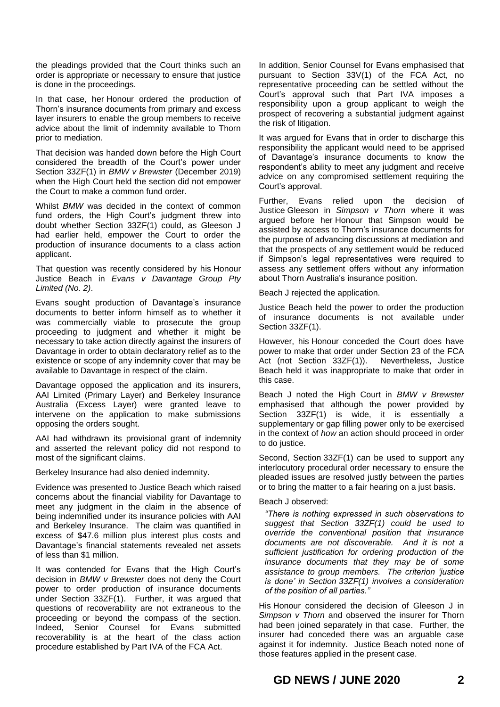the pleadings provided that the Court thinks such an order is appropriate or necessary to ensure that justice is done in the proceedings.

In that case, her Honour ordered the production of Thorn's insurance documents from primary and excess layer insurers to enable the group members to receive advice about the limit of indemnity available to Thorn prior to mediation.

That decision was handed down before the High Court considered the breadth of the Court's power under Section 33ZF(1) in *BMW v Brewster* (December 2019) when the High Court held the section did not empower the Court to make a common fund order.

Whilst *BMW* was decided in the context of common fund orders, the High Court's judgment threw into doubt whether Section 33ZF(1) could, as Gleeson J had earlier held, empower the Court to order the production of insurance documents to a class action applicant.

That question was recently considered by his Honour Justice Beach in *Evans v Davantage Group Pty Limited (No. 2)*.

Evans sought production of Davantage's insurance documents to better inform himself as to whether it was commercially viable to prosecute the group proceeding to judgment and whether it might be necessary to take action directly against the insurers of Davantage in order to obtain declaratory relief as to the existence or scope of any indemnity cover that may be available to Davantage in respect of the claim.

Davantage opposed the application and its insurers, AAI Limited (Primary Layer) and Berkeley Insurance Australia (Excess Layer) were granted leave to intervene on the application to make submissions opposing the orders sought.

AAI had withdrawn its provisional grant of indemnity and asserted the relevant policy did not respond to most of the significant claims.

Berkeley Insurance had also denied indemnity.

Evidence was presented to Justice Beach which raised concerns about the financial viability for Davantage to meet any judgment in the claim in the absence of being indemnified under its insurance policies with AAI and Berkeley Insurance. The claim was quantified in excess of \$47.6 million plus interest plus costs and Davantage's financial statements revealed net assets of less than \$1 million.

It was contended for Evans that the High Court's decision in *BMW v Brewster* does not deny the Court power to order production of insurance documents under Section 33ZF(1). Further, it was argued that questions of recoverability are not extraneous to the proceeding or beyond the compass of the section. Indeed, Senior Counsel for Evans submitted recoverability is at the heart of the class action procedure established by Part IVA of the FCA Act.

In addition, Senior Counsel for Evans emphasised that pursuant to Section 33V(1) of the FCA Act, no representative proceeding can be settled without the Court's approval such that Part IVA imposes a responsibility upon a group applicant to weigh the prospect of recovering a substantial judgment against the risk of litigation.

It was argued for Evans that in order to discharge this responsibility the applicant would need to be apprised of Davantage's insurance documents to know the respondent's ability to meet any judgment and receive advice on any compromised settlement requiring the Court's approval.

Further, Evans relied upon the decision of Justice Gleeson in *Simpson v Thorn* where it was argued before her Honour that Simpson would be assisted by access to Thorn's insurance documents for the purpose of advancing discussions at mediation and that the prospects of any settlement would be reduced if Simpson's legal representatives were required to assess any settlement offers without any information about Thorn Australia's insurance position.

Beach J rejected the application.

Justice Beach held the power to order the production of insurance documents is not available under Section 33ZF(1).

However, his Honour conceded the Court does have power to make that order under Section 23 of the FCA Act (not Section 33ZF(1)). Nevertheless, Justice Beach held it was inappropriate to make that order in this case.

Beach J noted the High Court in *BMW v Brewster* emphasised that although the power provided by Section 33ZF(1) is wide, it is essentially a supplementary or gap filling power only to be exercised in the context of *how* an action should proceed in order to do justice.

Second, Section 33ZF(1) can be used to support any interlocutory procedural order necessary to ensure the pleaded issues are resolved justly between the parties or to bring the matter to a fair hearing on a just basis.

# Beach J observed:

*"There is nothing expressed in such observations to suggest that Section 33ZF(1) could be used to override the conventional position that insurance documents are not discoverable. And it is not a sufficient justification for ordering production of the insurance documents that they may be of some assistance to group members. The criterion 'justice is done' in Section 33ZF(1) involves a consideration of the position of all parties."*

His Honour considered the decision of Gleeson J in *Simpson v Thorn* and observed the insurer for Thorn had been joined separately in that case. Further, the insurer had conceded there was an arguable case against it for indemnity. Justice Beach noted none of those features applied in the present case.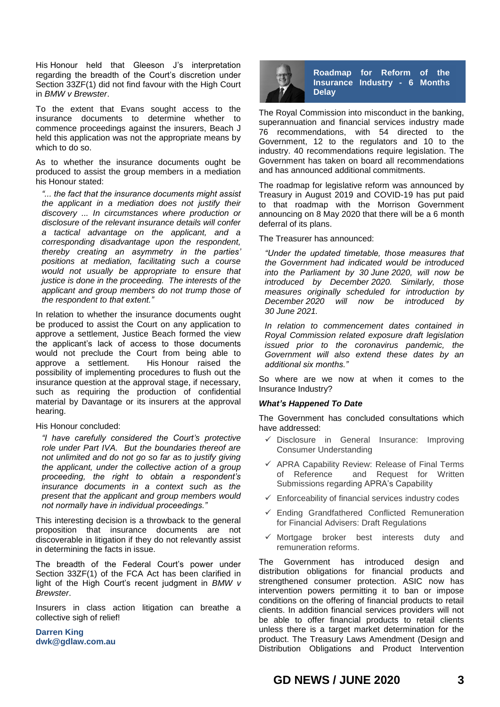His Honour held that Gleeson J's interpretation regarding the breadth of the Court's discretion under Section 33ZF(1) did not find favour with the High Court in *BMW v Brewster*.

To the extent that Evans sought access to the insurance documents to determine whether to commence proceedings against the insurers, Beach J held this application was not the appropriate means by which to do so.

As to whether the insurance documents ought be produced to assist the group members in a mediation his Honour stated:

*"... the fact that the insurance documents might assist the applicant in a mediation does not justify their discovery ... In circumstances where production or disclosure of the relevant insurance details will confer a tactical advantage on the applicant, and a corresponding disadvantage upon the respondent, thereby creating an asymmetry in the parties' positions at mediation, facilitating such a course would not usually be appropriate to ensure that justice is done in the proceeding. The interests of the applicant and group members do not trump those of the respondent to that extent."*

In relation to whether the insurance documents ought be produced to assist the Court on any application to approve a settlement, Justice Beach formed the view the applicant's lack of access to those documents would not preclude the Court from being able to approve a settlement. His Honour raised the possibility of implementing procedures to flush out the insurance question at the approval stage, if necessary, such as requiring the production of confidential material by Davantage or its insurers at the approval hearing.

# His Honour concluded:

*"I have carefully considered the Court's protective role under Part IVA. But the boundaries thereof are not unlimited and do not go so far as to justify giving the applicant, under the collective action of a group proceeding, the right to obtain a respondent's insurance documents in a context such as the present that the applicant and group members would not normally have in individual proceedings."*

This interesting decision is a throwback to the general proposition that insurance documents are not discoverable in litigation if they do not relevantly assist in determining the facts in issue.

The breadth of the Federal Court's power under Section 33ZF(1) of the FCA Act has been clarified in light of the High Court's recent judgment in *BMW v Brewster*.

Insurers in class action litigation can breathe a collective sigh of relief!

**Darren King dwk@gdlaw.com.au**



**Roadmap for Reform of the Insurance Industry - 6 Months Delay**

The Royal Commission into misconduct in the banking, superannuation and financial services industry made 76 recommendations, with 54 directed to the Government, 12 to the regulators and 10 to the industry. 40 recommendations require legislation. The Government has taken on board all recommendations and has announced additional commitments.

The roadmap for legislative reform was announced by Treasury in August 2019 and COVID-19 has put paid to that roadmap with the Morrison Government announcing on 8 May 2020 that there will be a 6 month deferral of its plans.

The Treasurer has announced:

*"Under the updated timetable, those measures that the Government had indicated would be introduced into the Parliament by 30 June 2020, will now be introduced by December 2020. Similarly, those measures originally scheduled for introduction by December 2020 will now be introduced by 30 June 2021.*

*In relation to commencement dates contained in Royal Commission related exposure draft legislation issued prior to the coronavirus pandemic, the Government will also extend these dates by an additional six months."*

So where are we now at when it comes to the Insurance Industry?

# *What's Happened To Date*

The Government has concluded consultations which have addressed:

- $\checkmark$  Disclosure in General Insurance: Improving Consumer Understanding
- $\checkmark$  APRA Capability Review: Release of Final Terms [of Reference and Request for Written](https://treasury.gov.au/consultation/c2019-t368439)  [Submissions regarding APRA's Capability](https://treasury.gov.au/consultation/c2019-t368439)
- $\checkmark$  [Enforceability of financial services in](https://treasury.gov.au/consultation/c2019-t368566)dustry codes
- $\checkmark$  Ending Grandfathered Conflicted Remuneration for [Financial Advisers: Draft R](https://treasury.gov.au/consultation/c2019-t370896)egulations
- $\checkmark$  Mortgage broker best interests duty and [remuneration reforms.](https://treasury.gov.au/consultation/c2019-403520)

The Government has introduced design and distribution obligations for financial products and strengthened consumer protection. ASIC now has intervention powers permitting it to ban or impose conditions on the offering of financial products to retail clients. In addition financial services providers will not be able to offer financial products to retail clients unless there is a target market determination for the product. The Treasury Laws Amendment (Design and Distribution Obligations and Product Intervention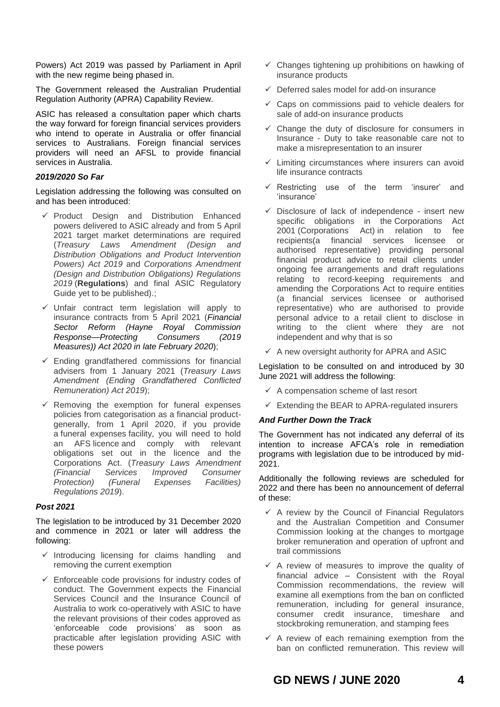Powers) Act 2019 was passed by Parliament in April with the new regime being phased in.

The Government released the Australian Prudential Regulation Authority (APRA) Capability Review.

ASIC has released a consultation paper which charts the way forward for foreign financial services providers who intend to operate in Australia or offer financial services to Australians. Foreign financial services providers will need an AFSL to provide financial services in Australia.

# *2019/2020 So Far*

Legislation addressing the following was consulted on and has been introduced:

- $\checkmark$  Product Design and Distribution Enhanced powers delivered to ASIC already and from 5 April 2021 target market determinations are required (*[Treasury Laws Amendment \(Design and](https://www.legislation.gov.au/Details/C2019A00050)  [Distribution Obligations and Product Intervention](https://www.legislation.gov.au/Details/C2019A00050)  [Powers\) Act 2019](https://www.legislation.gov.au/Details/C2019A00050)* and *Corporations Amendment (Design and Distribution Obligations) Regulations 2019* (**Regulations**) and final ASIC Regulatory Guide yet to be published).;
- $\checkmark$  Unfair contract term legislation will apply to insurance contracts from 5 April 2021 (*[Financial](https://www.legislation.gov.au/Details/C2020A00002/Html/Text)  [Sector Reform \(Hayne Royal Commission](https://www.legislation.gov.au/Details/C2020A00002/Html/Text)  [Response—Protecting Consumers \(2019](https://www.legislation.gov.au/Details/C2020A00002/Html/Text)  [Measures\)\) Act 2020](https://www.legislation.gov.au/Details/C2020A00002/Html/Text) in late February 2020*);
- $\checkmark$  Ending grandfathered commissions for financial advisers from 1 January 2021 (*Treasury Laws Amendment (Ending Grandfathered Conflicted Remuneration) Act 2019*);
- $\checkmark$  Removing the exemption for funeral expenses policies from categorisation as a financial productgenerally, from 1 April 2020, if you provide a funeral expenses facility, you will need to hold an AFS licence and comply with relevant obligations set out in the licence and the Corporations Act. (*[Treasury Laws Amendment](https://www.legislation.gov.au/Details/F2019L01533)  [\(Financial Services Improved Consumer](https://www.legislation.gov.au/Details/F2019L01533)  [Protection\) \(Funeral Expenses Facilities\)](https://www.legislation.gov.au/Details/F2019L01533)  [Regulations 2019](https://www.legislation.gov.au/Details/F2019L01533)*).

# *Post 2021*

The legislation to be introduced by 31 December 2020 and commence in 2021 or later will address the following:

- $\checkmark$  Introducing licensing for claims handling and removing the current exemption
- $\checkmark$  Enforceable code provisions for industry codes of conduct. The Government expects the Financial Services Council and the Insurance Council of Australia to work co-operatively with ASIC to have the relevant provisions of their codes approved as 'enforceable code provisions' as soon as practicable after legislation providing ASIC with these powers
- $\checkmark$  Changes tightening up prohibitions on hawking of insurance products
- $\checkmark$  Deferred sales model for add-on insurance
- $\checkmark$  Caps on commissions paid to vehicle dealers for sale of add-on insurance products
- $\checkmark$  Change the duty of disclosure for consumers in Insurance - Duty to take reasonable care not to make a misrepresentation to an insurer
- $\checkmark$  Limiting circumstances where insurers can avoid life insurance contracts
- Restricting use of the term 'insurer' and 'insurance'
- $\checkmark$  Disclosure of lack of independence insert new specific obligations in the Corporations Act 2001 (Corporations Act) in relation to fee recipients(a financial services licensee or authorised representative) providing personal financial product advice to retail clients under ongoing fee arrangements and draft regulations relating to record-keeping requirements and amending the Corporations Act to require entities (a financial services licensee or authorised representative) who are authorised to provide personal advice to a retail client to disclose in writing to the client where they are not independent and why that is so
- $\checkmark$  A new oversight authority for APRA and ASIC

Legislation to be consulted on and introduced by 30 June 2021 will address the following:

- $\checkmark$  A compensation scheme of last resort
- $\checkmark$  Extending the BEAR to APRA-regulated insurers

# *And Further Down the Track*

The Government has not indicated any deferral of its intention to increase AFCA's role in remediation programs with legislation due to be introduced by mid-2021.

Additionally the following reviews are scheduled for 2022 and there has been no announcement of deferral of these:

- $\checkmark$  A review by the Council of Financial Regulators and the Australian Competition and Consumer Commission looking at the changes to mortgage broker remuneration and operation of upfront and trail commissions
- $\checkmark$  A review of measures to improve the quality of financial advice – Consistent with the Royal Commission recommendations, the review will examine all exemptions from the ban on conflicted remuneration, including for general insurance, consumer credit insurance, timeshare and stockbroking remuneration, and stamping fees
- $\checkmark$  A review of each remaining exemption from the ban on conflicted remuneration. This review will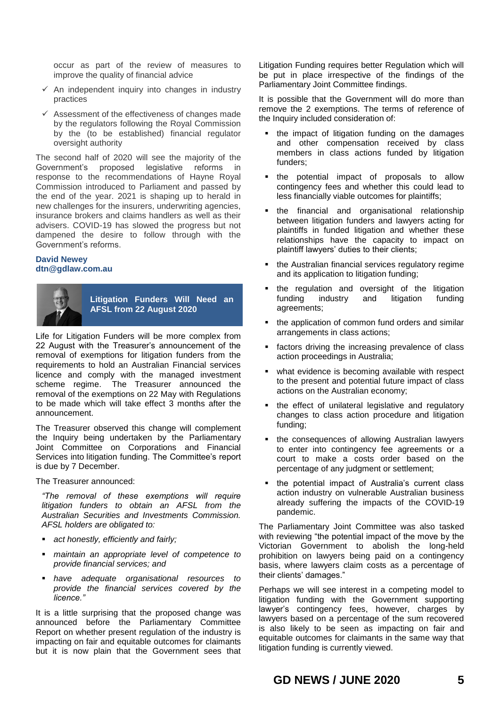occur as part of the review of measures to improve the quality of financial advice

- $\checkmark$  An independent inquiry into changes in industry practices
- $\checkmark$  Assessment of the effectiveness of changes made by the regulators following the Royal Commission by the (to be established) financial regulator oversight authority

The second half of 2020 will see the majority of the Government's proposed legislative reforms in response to the recommendations of Hayne Royal Commission introduced to Parliament and passed by the end of the year. 2021 is shaping up to herald in new challenges for the insurers, underwriting agencies, insurance brokers and claims handlers as well as their advisers. COVID-19 has slowed the progress but not dampened the desire to follow through with the Government's reforms.

# **David Newey dtn@gdlaw.com.au**



**Litigation Funders Will Need an AFSL from 22 August 2020**

Life for Litigation Funders will be more complex from 22 August with the Treasurer's announcement of the removal of exemptions for litigation funders from the requirements to hold an Australian Financial services licence and comply with the managed investment scheme regime. The Treasurer announced the The Treasurer announced the removal of the exemptions on 22 May with Regulations to be made which will take effect 3 months after the announcement.

The Treasurer observed this change will complement the Inquiry being undertaken by the Parliamentary Joint Committee on Corporations and Financial Services into litigation funding. The Committee's report is due by 7 December.

The Treasurer announced:

*"The removal of these exemptions will require litigation funders to obtain an AFSL from the Australian Securities and Investments Commission. AFSL holders are obligated to:*

- *act honestly, efficiently and fairly;*
- *maintain an appropriate level of competence to provide financial services; and*
- *have adequate organisational resources to provide the financial services covered by the licence."*

It is a little surprising that the proposed change was announced before the Parliamentary Committee Report on whether present regulation of the industry is impacting on fair and equitable outcomes for claimants but it is now plain that the Government sees that Litigation Funding requires better Regulation which will be put in place irrespective of the findings of the Parliamentary Joint Committee findings.

It is possible that the Government will do more than remove the 2 exemptions. The terms of reference of the Inquiry included consideration of:

- the impact of litigation funding on the damages and other compensation received by class members in class actions funded by litigation funders;
- the potential impact of proposals to allow contingency fees and whether this could lead to less financially viable outcomes for plaintiffs;
- the financial and organisational relationship between litigation funders and lawyers acting for plaintiffs in funded litigation and whether these relationships have the capacity to impact on plaintiff lawyers' duties to their clients;
- the Australian financial services regulatory regime and its application to litigation funding;
- the regulation and oversight of the litigation funding industry and litigation funding agreements;
- the application of common fund orders and similar arrangements in class actions;
- factors driving the increasing prevalence of class action proceedings in Australia;
- what evidence is becoming available with respect to the present and potential future impact of class actions on the Australian economy;
- the effect of unilateral legislative and regulatory changes to class action procedure and litigation funding;
- the consequences of allowing Australian lawyers to enter into contingency fee agreements or a court to make a costs order based on the percentage of any judgment or settlement;
- the potential impact of Australia's current class action industry on vulnerable Australian business already suffering the impacts of the COVID-19 pandemic.

The Parliamentary Joint Committee was also tasked with reviewing "the potential impact of the move by the Victorian Government to abolish the long-held prohibition on lawyers being paid on a contingency basis, where lawyers claim costs as a percentage of their clients' damages."

Perhaps we will see interest in a competing model to litigation funding with the Government supporting lawyer's contingency fees, however, charges by lawyers based on a percentage of the sum recovered is also likely to be seen as impacting on fair and equitable outcomes for claimants in the same way that litigation funding is currently viewed.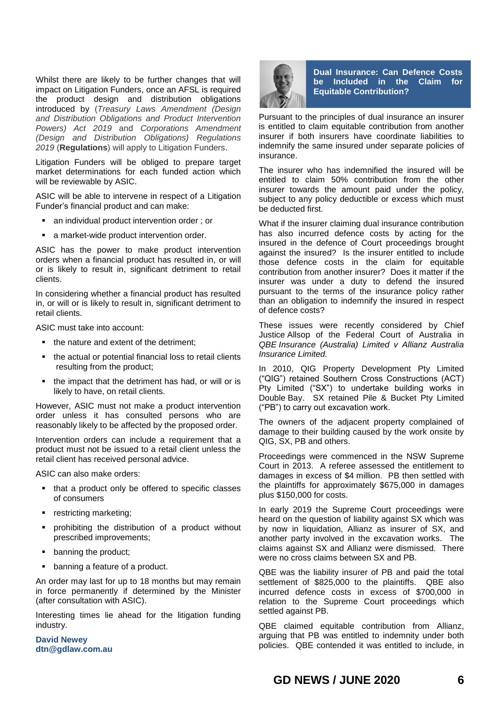Whilst there are likely to be further changes that will impact on Litigation Funders, once an AFSL is required the product design and distribution obligations introduced by (*[Treasury Laws Amendment \(Design](https://www.legislation.gov.au/Details/C2019A00050)  [and Distribution Obligations and Product Intervention](https://www.legislation.gov.au/Details/C2019A00050)  [Powers\) Act 2019](https://www.legislation.gov.au/Details/C2019A00050)* and *Corporations Amendment (Design and Distribution Obligations) Regulations 2019* (**Regulations**) will apply to Litigation Funders.

Litigation Funders will be obliged to prepare target market determinations for each funded action which will be reviewable by ASIC.

ASIC will be able to intervene in respect of a Litigation Funder's financial product and can make:

- an individual product intervention order ; or
- a market-wide product intervention order.

ASIC has the power to make product intervention orders when a financial product has resulted in, or will or is likely to result in, significant detriment to retail clients.

In considering whether a financial product has resulted in, or will or is likely to result in, significant detriment to retail clients.

ASIC must take into account:

- the nature and extent of the detriment;
- the actual or potential financial loss to retail clients resulting from the product;
- the impact that the detriment has had, or will or is likely to have, on retail clients.

However, ASIC must not make a product intervention order unless it has consulted persons who are reasonably likely to be affected by the proposed order.

Intervention orders can include a requirement that a product must not be issued to a retail client unless the retail client has received personal advice.

ASIC can also make orders:

- that a product only be offered to specific classes of consumers
- **•** restricting marketing:
- prohibiting the distribution of a product without prescribed improvements;
- banning the product;
- banning a feature of a product.

An order may last for up to 18 months but may remain in force permanently if determined by the Minister (after consultation with ASIC).

Interesting times lie ahead for the litigation funding industry.

**David Newey dtn@gdlaw.com.au**



**Dual Insurance: Can Defence Costs be Included in the Claim for Equitable Contribution?**

Pursuant to the principles of dual insurance an insurer is entitled to claim equitable contribution from another insurer if both insurers have coordinate liabilities to indemnify the same insured under separate policies of insurance.

The insurer who has indemnified the insured will be entitled to claim 50% contribution from the other insurer towards the amount paid under the policy, subject to any policy deductible or excess which must be deducted first.

What if the insurer claiming dual insurance contribution has also incurred defence costs by acting for the insured in the defence of Court proceedings brought against the insured? Is the insurer entitled to include those defence costs in the claim for equitable contribution from another insurer? Does it matter if the insurer was under a duty to defend the insured pursuant to the terms of the insurance policy rather than an obligation to indemnify the insured in respect of defence costs?

These issues were recently considered by Chief Justice Allsop of the Federal Court of Australia in *QBE Insurance (Australia) Limited v Allianz Australia Insurance Limited.*

In 2010, QIG Property Development Pty Limited ("QIG") retained Southern Cross Constructions (ACT) Pty Limited ("SX") to undertake building works in Double Bay. SX retained Pile & Bucket Pty Limited ("PB") to carry out excavation work.

The owners of the adjacent property complained of damage to their building caused by the work onsite by QIG, SX, PB and others.

Proceedings were commenced in the NSW Supreme Court in 2013. A referee assessed the entitlement to damages in excess of \$4 million. PB then settled with the plaintiffs for approximately \$675,000 in damages plus \$150,000 for costs.

In early 2019 the Supreme Court proceedings were heard on the question of liability against SX which was by now in liquidation, Allianz as insurer of SX, and another party involved in the excavation works. The claims against SX and Allianz were dismissed. There were no cross claims between SX and PB.

QBE was the liability insurer of PB and paid the total settlement of \$825,000 to the plaintiffs. QBE also incurred defence costs in excess of \$700,000 in relation to the Supreme Court proceedings which settled against PB.

QBE claimed equitable contribution from Allianz, arguing that PB was entitled to indemnity under both policies. QBE contended it was entitled to include, in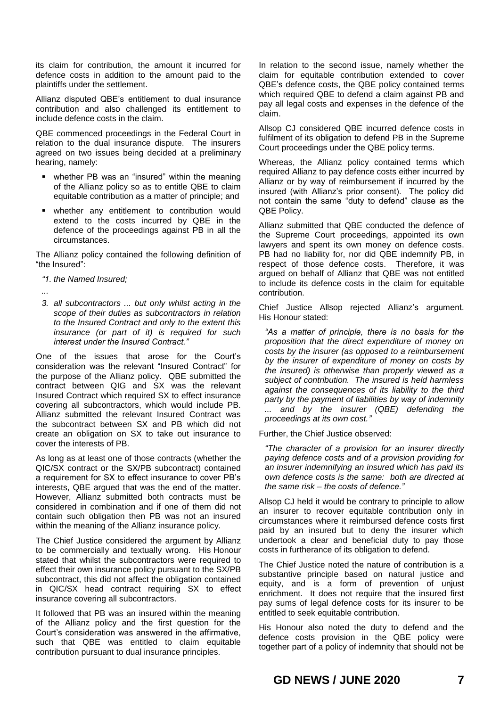its claim for contribution, the amount it incurred for defence costs in addition to the amount paid to the plaintiffs under the settlement.

Allianz disputed QBE's entitlement to dual insurance contribution and also challenged its entitlement to include defence costs in the claim.

QBE commenced proceedings in the Federal Court in relation to the dual insurance dispute. The insurers agreed on two issues being decided at a preliminary hearing, namely:

- whether PB was an "insured" within the meaning of the Allianz policy so as to entitle QBE to claim equitable contribution as a matter of principle; and
- whether any entitlement to contribution would extend to the costs incurred by QBE in the defence of the proceedings against PB in all the circumstances.

The Allianz policy contained the following definition of "the Insured":

*"1. the Named Insured;*

*...*

*3. all subcontractors ... but only whilst acting in the scope of their duties as subcontractors in relation to the Insured Contract and only to the extent this insurance (or part of it) is required for such interest under the Insured Contract."*

One of the issues that arose for the Court's consideration was the relevant "Insured Contract" for the purpose of the Allianz policy. QBE submitted the contract between QIG and SX was the relevant Insured Contract which required SX to effect insurance covering all subcontractors, which would include PB. Allianz submitted the relevant Insured Contract was the subcontract between SX and PB which did not create an obligation on SX to take out insurance to cover the interests of PB.

As long as at least one of those contracts (whether the QIC/SX contract or the SX/PB subcontract) contained a requirement for SX to effect insurance to cover PB's interests, QBE argued that was the end of the matter. However, Allianz submitted both contracts must be considered in combination and if one of them did not contain such obligation then PB was not an insured within the meaning of the Allianz insurance policy.

The Chief Justice considered the argument by Allianz to be commercially and textually wrong. His Honour stated that whilst the subcontractors were required to effect their own insurance policy pursuant to the SX/PB subcontract, this did not affect the obligation contained in QIC/SX head contract requiring SX to effect insurance covering all subcontractors.

It followed that PB was an insured within the meaning of the Allianz policy and the first question for the Court's consideration was answered in the affirmative, such that QBE was entitled to claim equitable contribution pursuant to dual insurance principles.

In relation to the second issue, namely whether the claim for equitable contribution extended to cover QBE's defence costs, the QBE policy contained terms which required QBE to defend a claim against PB and pay all legal costs and expenses in the defence of the claim.

Allsop CJ considered QBE incurred defence costs in fulfilment of its obligation to defend PB in the Supreme Court proceedings under the QBE policy terms.

Whereas, the Allianz policy contained terms which required Allianz to pay defence costs either incurred by Allianz or by way of reimbursement if incurred by the insured (with Allianz's prior consent). The policy did not contain the same "duty to defend" clause as the QBE Policy.

Allianz submitted that QBE conducted the defence of the Supreme Court proceedings, appointed its own lawyers and spent its own money on defence costs. PB had no liability for, nor did QBE indemnify PB, in respect of those defence costs. Therefore, it was argued on behalf of Allianz that QBE was not entitled to include its defence costs in the claim for equitable contribution.

Chief Justice Allsop rejected Allianz's argument. His Honour stated:

*"As a matter of principle, there is no basis for the proposition that the direct expenditure of money on costs by the insurer (as opposed to a reimbursement by the insurer of expenditure of money on costs by the insured) is otherwise than properly viewed as a subject of contribution. The insured is held harmless against the consequences of its liability to the third party by the payment of liabilities by way of indemnity ... and by the insurer (QBE) defending the proceedings at its own cost."*

Further, the Chief Justice observed:

*"The character of a provision for an insurer directly paying defence costs and of a provision providing for an insurer indemnifying an insured which has paid its own defence costs is the same: both are directed at the same risk – the costs of defence."*

Allsop CJ held it would be contrary to principle to allow an insurer to recover equitable contribution only in circumstances where it reimbursed defence costs first paid by an insured but to deny the insurer which undertook a clear and beneficial duty to pay those costs in furtherance of its obligation to defend.

The Chief Justice noted the nature of contribution is a substantive principle based on natural justice and equity, and is a form of prevention of unjust enrichment. It does not require that the insured first pay sums of legal defence costs for its insurer to be entitled to seek equitable contribution.

His Honour also noted the duty to defend and the defence costs provision in the QBE policy were together part of a policy of indemnity that should not be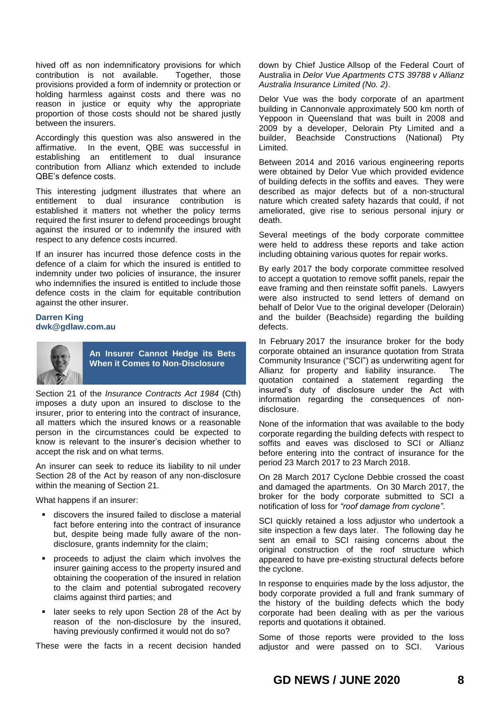hived off as non indemnificatory provisions for which contribution is not available. Together, those provisions provided a form of indemnity or protection or holding harmless against costs and there was no reason in justice or equity why the appropriate proportion of those costs should not be shared justly between the insurers.

Accordingly this question was also answered in the affirmative. In the event, QBE was successful in establishing an entitlement to dual insurance contribution from Allianz which extended to include QBE's defence costs.

This interesting judgment illustrates that where an entitlement to dual insurance contribution is established it matters not whether the policy terms required the first insurer to defend proceedings brought against the insured or to indemnify the insured with respect to any defence costs incurred.

If an insurer has incurred those defence costs in the defence of a claim for which the insured is entitled to indemnity under two policies of insurance, the insurer who indemnifies the insured is entitled to include those defence costs in the claim for equitable contribution against the other insurer.

# **Darren King dwk@gdlaw.com.au**



**An Insurer Cannot Hedge its Bets When it Comes to Non-Disclosure**

Section 21 of the *Insurance Contracts Act 1984* (Cth) imposes a duty upon an insured to disclose to the insurer, prior to entering into the contract of insurance, all matters which the insured knows or a reasonable person in the circumstances could be expected to know is relevant to the insurer's decision whether to accept the risk and on what terms.

An insurer can seek to reduce its liability to nil under Section 28 of the Act by reason of any non-disclosure within the meaning of Section 21.

What happens if an insurer:

- discovers the insured failed to disclose a material fact before entering into the contract of insurance but, despite being made fully aware of the nondisclosure, grants indemnity for the claim;
- proceeds to adjust the claim which involves the insurer gaining access to the property insured and obtaining the cooperation of the insured in relation to the claim and potential subrogated recovery claims against third parties; and
- later seeks to rely upon Section 28 of the Act by reason of the non-disclosure by the insured, having previously confirmed it would not do so?

These were the facts in a recent decision handed

down by Chief Justice Allsop of the Federal Court of Australia in *Delor Vue Apartments CTS 39788 v Allianz Australia Insurance Limited (No. 2)*.

Delor Vue was the body corporate of an apartment building in Cannonvale approximately 500 km north of Yeppoon in Queensland that was built in 2008 and 2009 by a developer, Delorain Pty Limited and a builder, Beachside Constructions (National) Pty Limited.

Between 2014 and 2016 various engineering reports were obtained by Delor Vue which provided evidence of building defects in the soffits and eaves. They were described as major defects but of a non-structural nature which created safety hazards that could, if not ameliorated, give rise to serious personal injury or death.

Several meetings of the body corporate committee were held to address these reports and take action including obtaining various quotes for repair works.

By early 2017 the body corporate committee resolved to accept a quotation to remove soffit panels, repair the eave framing and then reinstate soffit panels. Lawyers were also instructed to send letters of demand on behalf of Delor Vue to the original developer (Delorain) and the builder (Beachside) regarding the building defects.

In February 2017 the insurance broker for the body corporate obtained an insurance quotation from Strata Community Insurance ("SCI") as underwriting agent for Allianz for property and liability insurance. The quotation contained a statement regarding the insured's duty of disclosure under the Act with information regarding the consequences of nondisclosure.

None of the information that was available to the body corporate regarding the building defects with respect to soffits and eaves was disclosed to SCI or Allianz before entering into the contract of insurance for the period 23 March 2017 to 23 March 2018.

On 28 March 2017 Cyclone Debbie crossed the coast and damaged the apartments. On 30 March 2017, the broker for the body corporate submitted to SCI a notification of loss for *"roof damage from cyclone"*.

SCI quickly retained a loss adjustor who undertook a site inspection a few days later. The following day he sent an email to SCI raising concerns about the original construction of the roof structure which appeared to have pre-existing structural defects before the cyclone.

In response to enquiries made by the loss adjustor, the body corporate provided a full and frank summary of the history of the building defects which the body corporate had been dealing with as per the various reports and quotations it obtained.

Some of those reports were provided to the loss adjustor and were passed on to SCI. Various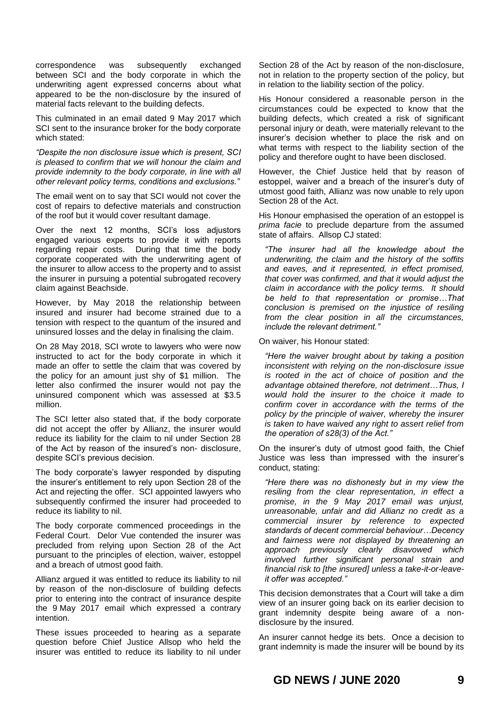correspondence was subsequently exchanged between SCI and the body corporate in which the underwriting agent expressed concerns about what appeared to be the non-disclosure by the insured of material facts relevant to the building defects.

This culminated in an email dated 9 May 2017 which SCI sent to the insurance broker for the body corporate which stated:

*"Despite the non disclosure issue which is present, SCI is pleased to confirm that we will honour the claim and provide indemnity to the body corporate, in line with all other relevant policy terms, conditions and exclusions."*

The email went on to say that SCI would not cover the cost of repairs to defective materials and construction of the roof but it would cover resultant damage.

Over the next 12 months, SCI's loss adjustors engaged various experts to provide it with reports regarding repair costs. During that time the body corporate cooperated with the underwriting agent of the insurer to allow access to the property and to assist the insurer in pursuing a potential subrogated recovery claim against Beachside.

However, by May 2018 the relationship between insured and insurer had become strained due to a tension with respect to the quantum of the insured and uninsured losses and the delay in finalising the claim.

On 28 May 2018, SCI wrote to lawyers who were now instructed to act for the body corporate in which it made an offer to settle the claim that was covered by the policy for an amount just shy of \$1 million. The letter also confirmed the insurer would not pay the uninsured component which was assessed at \$3.5 million.

The SCI letter also stated that, if the body corporate did not accept the offer by Allianz, the insurer would reduce its liability for the claim to nil under Section 28 of the Act by reason of the insured's non- disclosure, despite SCI's previous decision.

The body corporate's lawyer responded by disputing the insurer's entitlement to rely upon Section 28 of the Act and rejecting the offer. SCI appointed lawyers who subsequently confirmed the insurer had proceeded to reduce its liability to nil.

The body corporate commenced proceedings in the Federal Court. Delor Vue contended the insurer was precluded from relying upon Section 28 of the Act pursuant to the principles of election, waiver, estoppel and a breach of utmost good faith.

Allianz argued it was entitled to reduce its liability to nil by reason of the non-disclosure of building defects prior to entering into the contract of insurance despite the 9 May 2017 email which expressed a contrary intention.

These issues proceeded to hearing as a separate question before Chief Justice Allsop who held the insurer was entitled to reduce its liability to nil under

Section 28 of the Act by reason of the non-disclosure, not in relation to the property section of the policy, but in relation to the liability section of the policy.

His Honour considered a reasonable person in the circumstances could be expected to know that the building defects, which created a risk of significant personal injury or death, were materially relevant to the insurer's decision whether to place the risk and on what terms with respect to the liability section of the policy and therefore ought to have been disclosed.

However, the Chief Justice held that by reason of estoppel, waiver and a breach of the insurer's duty of utmost good faith, Allianz was now unable to rely upon Section 28 of the Act.

His Honour emphasised the operation of an estoppel is *prima facie* to preclude departure from the assumed state of affairs. Allsop CJ stated:

*"The insurer had all the knowledge about the underwriting, the claim and the history of the soffits and eaves, and it represented, in effect promised, that cover was confirmed, and that it would adjust the claim in accordance with the policy terms. It should be held to that representation or promise…That conclusion is premised on the injustice of resiling from the clear position in all the circumstances, include the relevant detriment."*

On waiver, his Honour stated:

*"Here the waiver brought about by taking a position inconsistent with relying on the non-disclosure issue is rooted in the act of choice of position and the advantage obtained therefore, not detriment…Thus, I would hold the insurer to the choice it made to confirm cover in accordance with the terms of the policy by the principle of waiver, whereby the insurer is taken to have waived any right to assert relief from the operation of s28(3) of the Act."*

On the insurer's duty of utmost good faith, the Chief Justice was less than impressed with the insurer's conduct, stating:

*"Here there was no dishonesty but in my view the resiling from the clear representation, in effect a promise, in the 9 May 2017 email was unjust, unreasonable, unfair and did Allianz no credit as a commercial insurer by reference to expected standards of decent commercial behaviour…Decency and fairness were not displayed by threatening an approach previously clearly disavowed which involved further significant personal strain and financial risk to [the insured] unless a take-it-or-leaveit offer was accepted."*

This decision demonstrates that a Court will take a dim view of an insurer going back on its earlier decision to grant indemnity despite being aware of a nondisclosure by the insured.

An insurer cannot hedge its bets. Once a decision to grant indemnity is made the insurer will be bound by its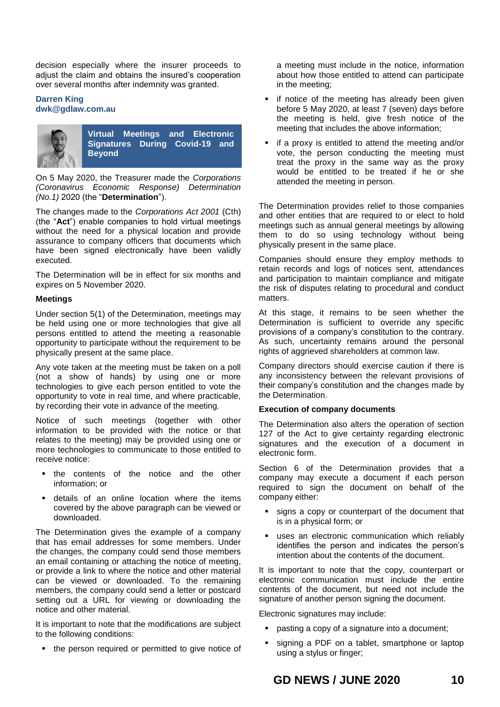decision especially where the insurer proceeds to adjust the claim and obtains the insured's cooperation over several months after indemnity was granted.

# **Darren King [dwk@gdlaw.com.au](mailto:dwk@gdlaw.com.au)**



**Virtual Meetings and Electronic Signatures During Covid-19 and Beyond**

On 5 May 2020, the Treasurer made the *Corporations (Coronavirus Economic Response) Determination (No.1)* 2020 (the "**Determination**").

The changes made to the *Corporations Act 2001* (Cth) (the "**Act**") enable companies to hold virtual meetings without the need for a physical location and provide assurance to company officers that documents which have been signed electronically have been validly executed.

The Determination will be in effect for six months and expires on 5 November 2020.

# **Meetings**

Under section 5(1) of the Determination, meetings may be held using one or more technologies that give all persons entitled to attend the meeting a reasonable opportunity to participate without the requirement to be physically present at the same place.

Any vote taken at the meeting must be taken on a poll (not a show of hands) by using one or more technologies to give each person entitled to vote the opportunity to vote in real time, and where practicable, by recording their vote in advance of the meeting.

Notice of such meetings (together with other information to be provided with the notice or that relates to the meeting) may be provided using one or more technologies to communicate to those entitled to receive notice:

- the contents of the notice and the other information; or
- details of an online location where the items covered by the above paragraph can be viewed or downloaded.

The Determination gives the example of a company that has email addresses for some members. Under the changes, the company could send those members an email containing or attaching the notice of meeting, or provide a link to where the notice and other material can be viewed or downloaded. To the remaining members, the company could send a letter or postcard setting out a URL for viewing or downloading the notice and other material.

It is important to note that the modifications are subject to the following conditions:

• the person required or permitted to give notice of

a meeting must include in the notice, information about how those entitled to attend can participate in the meeting;

- if notice of the meeting has already been given before 5 May 2020, at least 7 (seven) days before the meeting is held, give fresh notice of the meeting that includes the above information;
- if a proxy is entitled to attend the meeting and/or vote, the person conducting the meeting must treat the proxy in the same way as the proxy would be entitled to be treated if he or she attended the meeting in person.

The Determination provides relief to those companies and other entities that are required to or elect to hold meetings such as annual general meetings by allowing them to do so using technology without being physically present in the same place.

Companies should ensure they employ methods to retain records and logs of notices sent, attendances and participation to maintain compliance and mitigate the risk of disputes relating to procedural and conduct matters.

At this stage, it remains to be seen whether the Determination is sufficient to override any specific provisions of a company's constitution to the contrary. As such, uncertainty remains around the personal rights of aggrieved shareholders at common law.

Company directors should exercise caution if there is any inconsistency between the relevant provisions of their company's constitution and the changes made by the Determination.

# **Execution of company documents**

The Determination also alters the operation of section 127 of the Act to give certainty regarding electronic signatures and the execution of a document in electronic form.

Section 6 of the Determination provides that a company may execute a document if each person required to sign the document on behalf of the company either:

- signs a copy or counterpart of the document that is in a physical form; or
- uses an electronic communication which reliably identifies the person and indicates the person's intention about the contents of the document.

It is important to note that the copy, counterpart or electronic communication must include the entire contents of the document, but need not include the signature of another person signing the document.

Electronic signatures may include:

- pasting a copy of a signature into a document;
- signing a PDF on a tablet, smartphone or laptop using a stylus or finger;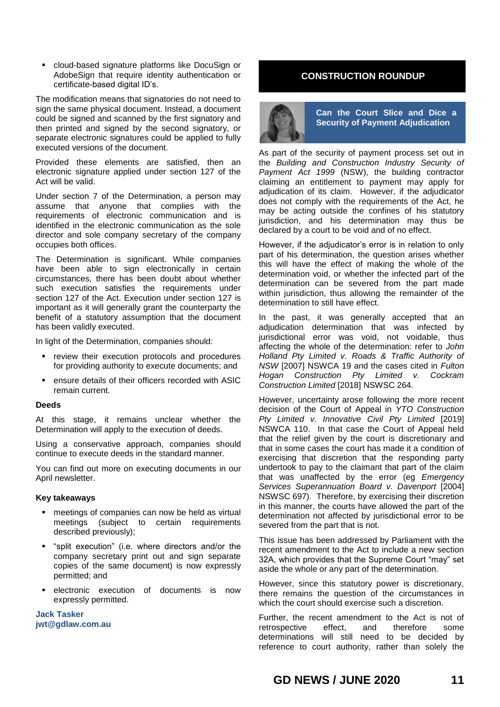cloud-based signature platforms like DocuSign or AdobeSign that require identity authentication or certificate-based digital ID's.

The modification means that signatories do not need to sign the same physical document. Instead, a document could be signed and scanned by the first signatory and then printed and signed by the second signatory, or separate electronic signatures could be applied to fully executed versions of the document.

Provided these elements are satisfied, then an electronic signature applied under section 127 of the Act will be valid.

Under section 7 of the Determination, a person may assume that anyone that complies with the requirements of electronic communication and is identified in the electronic communication as the sole director and sole company secretary of the company occupies both offices.

The Determination is significant. While companies have been able to sign electronically in certain circumstances, there has been doubt about whether such execution satisfies the requirements under section 127 of the Act. Execution under section 127 is important as it will generally grant the counterparty the benefit of a statutory assumption that the document has been validly executed.

In light of the Determination, companies should:

- **•** review their execution protocols and procedures for providing authority to execute documents; and
- ensure details of their officers recorded with ASIC remain current.

# **Deeds**

At this stage, it remains unclear whether the Determination will apply to the execution of deeds.

Using a conservative approach, companies should continue to execute deeds in the standard manner.

You can find out more on executing documents in our April newsletter.

# **Key takeaways**

- **EXEC** meetings of companies can now be held as virtual meetings (subject to certain requirements described previously);
- "split execution" (i.e. where directors and/or the company secretary print out and sign separate copies of the same document) is now expressly permitted; and
- electronic execution of documents is now expressly permitted.

**Jack Tasker jwt@gdlaw.com.au**

# **CONSTRUCTION ROUNDUP**



**Can the Court Slice and Dice a Security of Payment Adjudication**

As part of the security of payment process set out in the *Building and Construction Industry Security of Payment Act 1999* (NSW), the building contractor claiming an entitlement to payment may apply for adjudication of its claim. However, if the adjudicator does not comply with the requirements of the Act, he may be acting outside the confines of his statutory jurisdiction, and his determination may thus be declared by a court to be void and of no effect.

However, if the adjudicator's error is in relation to only part of his determination, the question arises whether this will have the effect of making the whole of the determination void, or whether the infected part of the determination can be severed from the part made within jurisdiction, thus allowing the remainder of the determination to still have effect.

In the past, it was generally accepted that an adjudication determination that was infected by jurisdictional error was void, not voidable, thus affecting the whole of the determination: refer to *John Holland Pty Limited v. Roads & Traffic Authority of NSW* [2007] NSWCA 19 and the cases cited in *Fulton Hogan Construction Pty Limited v. Cockram Construction Limited* [2018] NSWSC 264.

However, uncertainty arose following the more recent decision of the Court of Appeal in *YTO Construction Pty Limited v. Innovative Civil Pty Limited* [2019] NSWCA 110. In that case the Court of Appeal held that the relief given by the court is discretionary and that in some cases the court has made it a condition of exercising that discretion that the responding party undertook to pay to the claimant that part of the claim that was unaffected by the error (eg *Emergency Services Superannuation Board v. Davenport* [2004] NSWSC 697). Therefore, by exercising their discretion in this manner, the courts have allowed the part of the determination not affected by jurisdictional error to be severed from the part that is not.

This issue has been addressed by Parliament with the recent amendment to the Act to include a new section 32A, which provides that the Supreme Court "may" set aside the whole or any part of the determination.

However, since this statutory power is discretionary, there remains the question of the circumstances in which the court should exercise such a discretion.

Further, the recent amendment to the Act is not of retrospective effect, and therefore some determinations will still need to be decided by reference to court authority, rather than solely the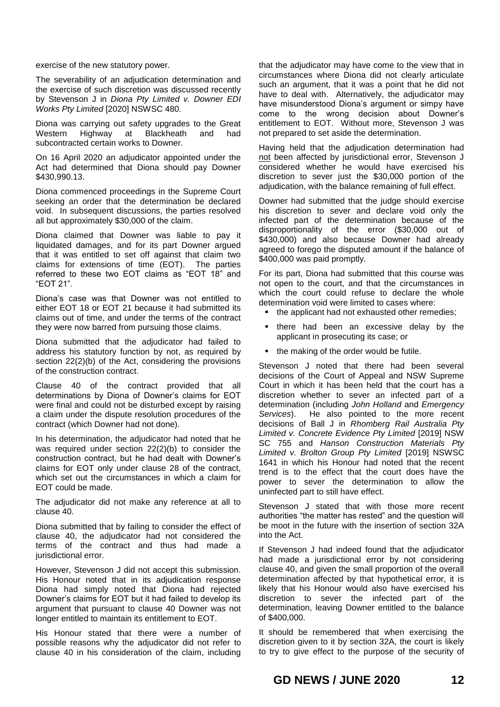exercise of the new statutory power.

The severability of an adjudication determination and the exercise of such discretion was discussed recently by Stevenson J in *Diona Pty Limited v. Downer EDI Works Pty Limited* [2020] NSWSC 480.

Diona was carrying out safety upgrades to the Great Western Highway at Blackheath and had subcontracted certain works to Downer.

On 16 April 2020 an adjudicator appointed under the Act had determined that Diona should pay Downer \$430,990.13.

Diona commenced proceedings in the Supreme Court seeking an order that the determination be declared void. In subsequent discussions, the parties resolved all but approximately \$30,000 of the claim.

Diona claimed that Downer was liable to pay it liquidated damages, and for its part Downer argued that it was entitled to set off against that claim two claims for extensions of time (EOT). The parties referred to these two EOT claims as "EOT 18" and "EOT 21".

Diona's case was that Downer was not entitled to either EOT 18 or EOT 21 because it had submitted its claims out of time, and under the terms of the contract they were now barred from pursuing those claims.

Diona submitted that the adjudicator had failed to address his statutory function by not, as required by section 22(2)(b) of the Act, considering the provisions of the construction contract.

Clause 40 of the contract provided that all determinations by Diona of Downer's claims for EOT were final and could not be disturbed except by raising a claim under the dispute resolution procedures of the contract (which Downer had not done).

In his determination, the adjudicator had noted that he was required under section 22(2)(b) to consider the construction contract, but he had dealt with Downer's claims for EOT only under clause 28 of the contract, which set out the circumstances in which a claim for EOT could be made.

The adjudicator did not make any reference at all to clause 40.

Diona submitted that by failing to consider the effect of clause 40, the adjudicator had not considered the terms of the contract and thus had made a jurisdictional error.

However, Stevenson J did not accept this submission. His Honour noted that in its adjudication response Diona had simply noted that Diona had rejected Downer's claims for EOT but it had failed to develop its argument that pursuant to clause 40 Downer was not longer entitled to maintain its entitlement to EOT.

His Honour stated that there were a number of possible reasons why the adjudicator did not refer to clause 40 in his consideration of the claim, including

that the adjudicator may have come to the view that in circumstances where Diona did not clearly articulate such an argument, that it was a point that he did not have to deal with. Alternatively, the adjudicator may have misunderstood Diona's argument or simpy have come to the wrong decision about Downer's entitlement to EOT. Without more, Stevenson J was not prepared to set aside the determination.

Having held that the adjudication determination had not been affected by jurisdictional error, Stevenson J considered whether he would have exercised his discretion to sever just the \$30,000 portion of the adjudication, with the balance remaining of full effect.

Downer had submitted that the judge should exercise his discretion to sever and declare void only the infected part of the determination because of the disproportionality of the error (\$30,000 out of \$430,000) and also because Downer had already agreed to forego the disputed amount if the balance of \$400,000 was paid promptly.

For its part, Diona had submitted that this course was not open to the court, and that the circumstances in which the court could refuse to declare the whole determination void were limited to cases where:

- the applicant had not exhausted other remedies;
- **there** had been an excessive delay by the applicant in prosecuting its case; or
- the making of the order would be futile.

Stevenson J noted that there had been several decisions of the Court of Appeal and NSW Supreme Court in which it has been held that the court has a discretion whether to sever an infected part of a determination (including *John Holland* and *Emergency Services*). He also pointed to the more recent decisions of Ball J in *Rhomberg Rail Australia Pty Limited v. Concrete Evidence Pty Limited* [2019] NSW SC 755 and *Hanson Construction Materials Pty Limited v. Brolton Group Pty Limited* [2019] NSWSC 1641 in which his Honour had noted that the recent trend is to the effect that the court does have the power to sever the determination to allow the uninfected part to still have effect.

Stevenson J stated that with those more recent authorities "the matter has rested" and the question will be moot in the future with the insertion of section 32A into the Act.

If Stevenson J had indeed found that the adjudicator had made a jurisdictional error by not considering clause 40, and given the small proportion of the overall determination affected by that hypothetical error, it is likely that his Honour would also have exercised his discretion to sever the infected part of the determination, leaving Downer entitled to the balance of \$400,000.

It should be remembered that when exercising the discretion given to it by section 32A, the court is likely to try to give effect to the purpose of the security of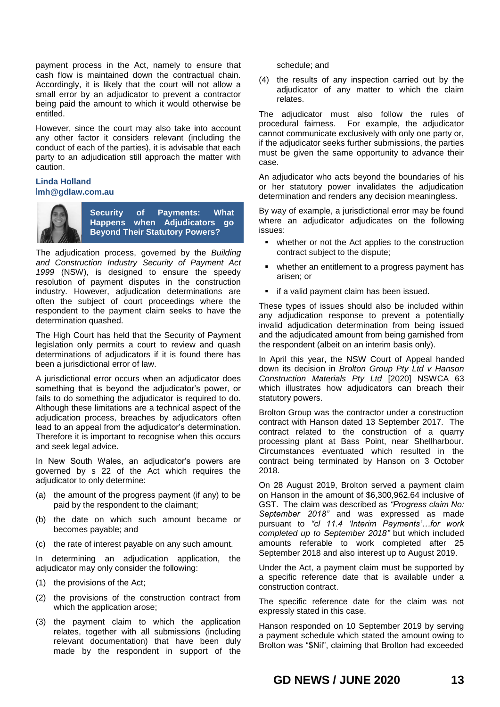payment process in the Act, namely to ensure that cash flow is maintained down the contractual chain. Accordingly, it is likely that the court will not allow a small error by an adjudicator to prevent a contractor being paid the amount to which it would otherwise be entitled.

However, since the court may also take into account any other factor it considers relevant (including the conduct of each of the parties), it is advisable that each party to an adjudication still approach the matter with caution.

# **Linda Holland** l**[mh@gdlaw.com.au](mailto:lmh@gdlaw.com.au)**



**Security of Payments: What Happens when Adjudicators go Beyond Their Statutory Powers?**

The adjudication process, governed by the *Building and Construction Industry Security of Payment Act 1999* (NSW), is designed to ensure the speedy resolution of payment disputes in the construction industry. However, adjudication determinations are often the subject of court proceedings where the respondent to the payment claim seeks to have the determination quashed.

The High Court has held that the Security of Payment legislation only permits a court to review and quash determinations of adjudicators if it is found there has been a jurisdictional error of law.

A jurisdictional error occurs when an adjudicator does something that is beyond the adjudicator's power, or fails to do something the adjudicator is required to do. Although these limitations are a technical aspect of the adjudication process, breaches by adjudicators often lead to an appeal from the adjudicator's determination. Therefore it is important to recognise when this occurs and seek legal advice.

In New South Wales, an adjudicator's powers are governed by s 22 of the Act which requires the adjudicator to only determine:

- (a) the amount of the progress payment (if any) to be paid by the respondent to the claimant;
- (b) the date on which such amount became or becomes payable; and
- (c) the rate of interest payable on any such amount.

In determining an adjudication application, the adjudicator may only consider the following:

- (1) the provisions of the Act;
- (2) the provisions of the construction contract from which the application arose;
- (3) the payment claim to which the application relates, together with all submissions (including relevant documentation) that have been duly made by the respondent in support of the

schedule; and

(4) the results of any inspection carried out by the adjudicator of any matter to which the claim relates.

The adjudicator must also follow the rules of procedural fairness. For example, the adjudicator cannot communicate exclusively with only one party or, if the adjudicator seeks further submissions, the parties must be given the same opportunity to advance their case.

An adjudicator who acts beyond the boundaries of his or her statutory power invalidates the adjudication determination and renders any decision meaningless.

By way of example, a jurisdictional error may be found where an adjudicator adjudicates on the following issues:

- whether or not the Act applies to the construction contract subject to the dispute;
- whether an entitlement to a progress payment has arisen; or
- if a valid payment claim has been issued.

These types of issues should also be included within any adjudication response to prevent a potentially invalid adjudication determination from being issued and the adjudicated amount from being garnished from the respondent (albeit on an interim basis only).

In April this year, the NSW Court of Appeal handed down its decision in *Brolton Group Pty Ltd v Hanson Construction Materials Pty Ltd* [2020] NSWCA 63 which illustrates how adjudicators can breach their statutory powers.

Brolton Group was the contractor under a construction contract with Hanson dated 13 September 2017. The contract related to the construction of a quarry processing plant at Bass Point, near Shellharbour. Circumstances eventuated which resulted in the contract being terminated by Hanson on 3 October 2018.

On 28 August 2019, Brolton served a payment claim on Hanson in the amount of \$6,300,962.64 inclusive of GST. The claim was described as *"Progress claim No: September 2018"* and was expressed as made pursuant to *"cl 11.4 'Interim Payments'…for work completed up to September 2018"* but which included amounts referable to work completed after 25 September 2018 and also interest up to August 2019.

Under the Act, a payment claim must be supported by a specific reference date that is available under a construction contract.

The specific reference date for the claim was not expressly stated in this case.

Hanson responded on 10 September 2019 by serving a payment schedule which stated the amount owing to Brolton was "\$Nil", claiming that Brolton had exceeded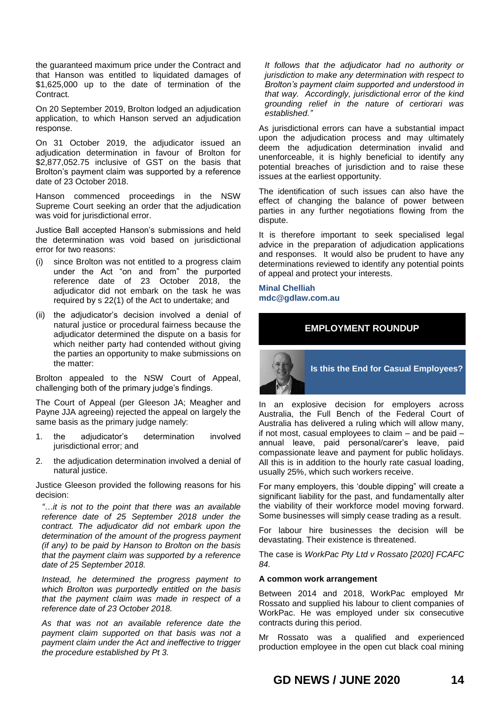the guaranteed maximum price under the Contract and that Hanson was entitled to liquidated damages of \$1,625,000 up to the date of termination of the Contract.

On 20 September 2019, Brolton lodged an adjudication application, to which Hanson served an adjudication response.

On 31 October 2019, the adjudicator issued an adjudication determination in favour of Brolton for \$2,877,052.75 inclusive of GST on the basis that Brolton's payment claim was supported by a reference date of 23 October 2018.

Hanson commenced proceedings in the NSW Supreme Court seeking an order that the adjudication was void for jurisdictional error.

Justice Ball accepted Hanson's submissions and held the determination was void based on jurisdictional error for two reasons:

- (i) since Brolton was not entitled to a progress claim under the Act "on and from" the purported reference date of 23 October 2018, the adjudicator did not embark on the task he was required by s 22(1) of the Act to undertake; and
- (ii) the adjudicator's decision involved a denial of natural justice or procedural fairness because the adjudicator determined the dispute on a basis for which neither party had contended without giving the parties an opportunity to make submissions on the matter:

Brolton appealed to the NSW Court of Appeal, challenging both of the primary judge's findings.

The Court of Appeal (per Gleeson JA; Meagher and Payne JJA agreeing) rejected the appeal on largely the same basis as the primary judge namely:

- 1. the adjudicator's determination involved jurisdictional error; and
- 2. the adjudication determination involved a denial of natural justice.

Justice Gleeson provided the following reasons for his decision:

*"…it is not to the point that there was an available reference date of 25 September 2018 under the contract. The adjudicator did not embark upon the determination of the amount of the progress payment (if any) to be paid by Hanson to Brolton on the basis that the payment claim was supported by a reference date of 25 September 2018.* 

*Instead, he determined the progress payment to which Brolton was purportedly entitled on the basis that the payment claim was made in respect of a reference date of 23 October 2018.* 

*As that was not an available reference date the payment claim supported on that basis was not a payment claim under the Act and ineffective to trigger the procedure established by Pt 3.* 

*It follows that the adjudicator had no authority or jurisdiction to make any determination with respect to Brolton's payment claim supported and understood in that way. Accordingly, jurisdictional error of the kind grounding relief in the nature of certiorari was established."*

As jurisdictional errors can have a substantial impact upon the adjudication process and may ultimately deem the adjudication determination invalid and unenforceable, it is highly beneficial to identify any potential breaches of jurisdiction and to raise these issues at the earliest opportunity.

The identification of such issues can also have the effect of changing the balance of power between parties in any further negotiations flowing from the dispute.

It is therefore important to seek specialised legal advice in the preparation of adjudication applications and responses. It would also be prudent to have any determinations reviewed to identify any potential points of appeal and protect your interests.

**Minal Chelliah mdc@gdlaw.com.au**

# **EMPLOYMENT ROUNDUP**



In an explosive decision for employers across Australia, the Full Bench of the Federal Court of Australia has delivered a ruling which will allow many, if not most, casual employees to claim – and be paid – annual leave, paid personal/carer's leave, paid compassionate leave and payment for public holidays. All this is in addition to the hourly rate casual loading, usually 25%, which such workers receive.

For many employers, this 'double dipping" will create a significant liability for the past, and fundamentally alter the viability of their workforce model moving forward. Some businesses will simply cease trading as a result.

For labour hire businesses the decision will be devastating. Their existence is threatened.

The case is *WorkPac Pty Ltd v Rossato [2020] FCAFC 84.*

# **A common work arrangement**

Between 2014 and 2018, WorkPac employed Mr Rossato and supplied his labour to client companies of WorkPac. He was employed under six consecutive contracts during this period.

Mr Rossato was a qualified and experienced production employee in the open cut black coal mining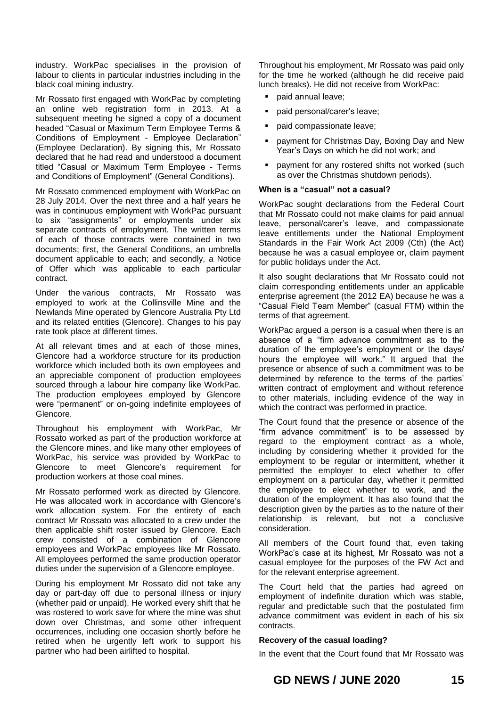industry. WorkPac specialises in the provision of labour to clients in particular industries including in the black coal mining industry.

Mr Rossato first engaged with WorkPac by completing an online web registration form in 2013. At a subsequent meeting he signed a copy of a document headed "Casual or Maximum Term Employee Terms & Conditions of Employment - Employee Declaration" (Employee Declaration). By signing this, Mr Rossato declared that he had read and understood a document titled "Casual or Maximum Term Employee - Terms and Conditions of Employment" (General Conditions).

Mr Rossato commenced employment with WorkPac on 28 July 2014. Over the next three and a half years he was in continuous employment with WorkPac pursuant to six "assignments" or employments under six separate contracts of employment. The written terms of each of those contracts were contained in two documents; first, the General Conditions, an umbrella document applicable to each; and secondly, a Notice of Offer which was applicable to each particular contract.

Under the various contracts, Mr Rossato was employed to work at the Collinsville Mine and the Newlands Mine operated by Glencore Australia Pty Ltd and its related entities (Glencore). Changes to his pay rate took place at different times.

At all relevant times and at each of those mines, Glencore had a workforce structure for its production workforce which included both its own employees and an appreciable component of production employees sourced through a labour hire company like WorkPac. The production employees employed by Glencore were "permanent" or on-going indefinite employees of Glencore.

Throughout his employment with WorkPac, Mr Rossato worked as part of the production workforce at the Glencore mines, and like many other employees of WorkPac, his service was provided by WorkPac to Glencore to meet Glencore's requirement for production workers at those coal mines.

Mr Rossato performed work as directed by Glencore. He was allocated work in accordance with Glencore's work allocation system. For the entirety of each contract Mr Rossato was allocated to a crew under the then applicable shift roster issued by Glencore. Each crew consisted of a combination of Glencore employees and WorkPac employees like Mr Rossato. All employees performed the same production operator duties under the supervision of a Glencore employee.

During his employment Mr Rossato did not take any day or part-day off due to personal illness or injury (whether paid or unpaid). He worked every shift that he was rostered to work save for where the mine was shut down over Christmas, and some other infrequent occurrences, including one occasion shortly before he retired when he urgently left work to support his partner who had been airlifted to hospital.

Throughout his employment, Mr Rossato was paid only for the time he worked (although he did receive paid lunch breaks). He did not receive from WorkPac:

- paid annual leave;
- paid personal/carer's leave;
- paid compassionate leave;
- payment for Christmas Day, Boxing Day and New Year's Days on which he did not work; and
- payment for any rostered shifts not worked (such as over the Christmas shutdown periods).

# **When is a "casual" not a casual?**

WorkPac sought declarations from the Federal Court that Mr Rossato could not make claims for paid annual leave, personal/carer's leave, and compassionate leave entitlements under the National Employment Standards in the Fair Work Act 2009 (Cth) (the Act) because he was a casual employee or, claim payment for public holidays under the Act.

It also sought declarations that Mr Rossato could not claim corresponding entitlements under an applicable enterprise agreement (the 2012 EA) because he was a "Casual Field Team Member" (casual FTM) within the terms of that agreement.

WorkPac argued a person is a casual when there is an absence of a "firm advance commitment as to the duration of the employee's employment or the days/ hours the employee will work." It argued that the presence or absence of such a commitment was to be determined by reference to the terms of the parties' written contract of employment and without reference to other materials, including evidence of the way in which the contract was performed in practice.

The Court found that the presence or absence of the "firm advance commitment" is to be assessed by regard to the employment contract as a whole, including by considering whether it provided for the employment to be regular or intermittent, whether it permitted the employer to elect whether to offer employment on a particular day, whether it permitted the employee to elect whether to work, and the duration of the employment. It has also found that the description given by the parties as to the nature of their relationship is relevant, but not a conclusive consideration.

All members of the Court found that, even taking WorkPac's case at its highest, Mr Rossato was not a casual employee for the purposes of the FW Act and for the relevant enterprise agreement.

The Court held that the parties had agreed on employment of indefinite duration which was stable, regular and predictable such that the postulated firm advance commitment was evident in each of his six contracts.

# **Recovery of the casual loading?**

In the event that the Court found that Mr Rossato was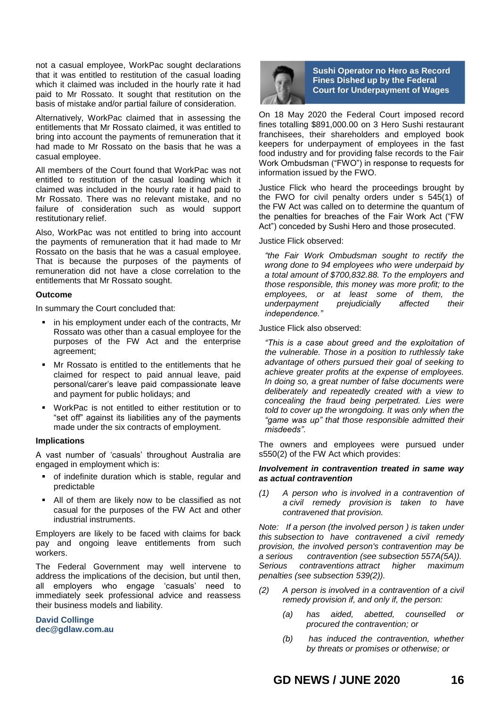not a casual employee, WorkPac sought declarations that it was entitled to restitution of the casual loading which it claimed was included in the hourly rate it had paid to Mr Rossato. It sought that restitution on the basis of mistake and/or partial failure of consideration.

Alternatively, WorkPac claimed that in assessing the entitlements that Mr Rossato claimed, it was entitled to bring into account the payments of remuneration that it had made to Mr Rossato on the basis that he was a casual employee.

All members of the Court found that WorkPac was not entitled to restitution of the casual loading which it claimed was included in the hourly rate it had paid to Mr Rossato. There was no relevant mistake, and no failure of consideration such as would support restitutionary relief.

Also, WorkPac was not entitled to bring into account the payments of remuneration that it had made to Mr Rossato on the basis that he was a casual employee. That is because the purposes of the payments of remuneration did not have a close correlation to the entitlements that Mr Rossato sought.

# **Outcome**

In summary the Court concluded that:

- in his employment under each of the contracts, Mr Rossato was other than a casual employee for the purposes of the FW Act and the enterprise agreement;
- Mr Rossato is entitled to the entitlements that he claimed for respect to paid annual leave, paid personal/carer's leave paid compassionate leave and payment for public holidays; and
- WorkPac is not entitled to either restitution or to "set off" against its liabilities any of the payments made under the six contracts of employment.

#### **Implications**

A vast number of 'casuals' throughout Australia are engaged in employment which is:

- of indefinite duration which is stable, regular and predictable
- All of them are likely now to be classified as not casual for the purposes of the FW Act and other industrial instruments.

Employers are likely to be faced with claims for back pay and ongoing leave entitlements from such workers.

The Federal Government may well intervene to address the implications of the decision, but until then, all employers who engage 'casuals' need to immediately seek professional advice and reassess their business models and liability.

**David Collinge dec@gdlaw.com.au**



**Sushi Operator no Hero as Record Fines Dished up by the Federal Court for Underpayment of Wages**

On 18 May 2020 the Federal Court imposed record fines totalling \$891,000.00 on 3 Hero Sushi restaurant franchisees, their shareholders and employed book keepers for underpayment of employees in the fast food industry and for providing false records to the Fair Work Ombudsman ("FWO") in response to requests for information issued by the FWO.

Justice Flick who heard the proceedings brought by the FWO for civil penalty orders under s 545(1) of the FW Act was called on to determine the quantum of the penalties for breaches of the Fair Work Act ("FW Act") conceded by Sushi Hero and those prosecuted.

Justice Flick observed:

*"the Fair Work Ombudsman sought to rectify the wrong done to 94 employees who were underpaid by a total amount of \$700,832.88. To the employers and those responsible, this money was more profit; to the employees, or at least some of them, the underpayment prejudicially affected their independence."*

Justice Flick also observed:

*"This is a case about greed and the exploitation of the vulnerable. Those in a position to ruthlessly take advantage of others pursued their goal of seeking to achieve greater profits at the expense of employees. In doing so, a great number of false documents were deliberately and repeatedly created with a view to concealing the fraud being perpetrated. Lies were told to cover up the wrongdoing. It was only when the "game was up" that those responsible admitted their misdeeds".*

The owners and employees were pursued under s550(2) of the FW Act which provides:

### *Involvement in contravention treated in same way as actual contravention*

*(1) A person who is [involved in](http://classic.austlii.edu.au/au/legis/cth/consol_act/fwa2009114/s12.html#involved_in) a contravention of a [civil remedy provision](http://classic.austlii.edu.au/au/legis/cth/consol_act/fwa2009114/s12.html#civil_remedy_provision) is taken to have contravened that provision.*

*Note: If a person (the involved person ) is taken under this [subsection](http://classic.austlii.edu.au/au/legis/cth/consol_act/fwa2009114/s26.html#subsection) to have contravened a [civil remedy](http://classic.austlii.edu.au/au/legis/cth/consol_act/fwa2009114/s12.html#civil_remedy_provision)  [provision,](http://classic.austlii.edu.au/au/legis/cth/consol_act/fwa2009114/s12.html#civil_remedy_provision) the involved person's contravention may be a [serious contravention](http://classic.austlii.edu.au/au/legis/cth/consol_act/fwa2009114/s12.html#serious_contravention) (see [subsection](http://classic.austlii.edu.au/au/legis/cth/consol_act/fwa2009114/s26.html#subsection) 557A(5A)). [Serious contraventions](http://classic.austlii.edu.au/au/legis/cth/consol_act/fwa2009114/s12.html#serious_contravention) attract higher maximum penalties (see [subsection](http://classic.austlii.edu.au/au/legis/cth/consol_act/fwa2009114/s26.html#subsection) 539(2)).*

- *(2) A person is [involved in](http://classic.austlii.edu.au/au/legis/cth/consol_act/fwa2009114/s12.html#involved_in) a contravention of a [civil](http://classic.austlii.edu.au/au/legis/cth/consol_act/fwa2009114/s12.html#civil_remedy_provision)  [remedy provision](http://classic.austlii.edu.au/au/legis/cth/consol_act/fwa2009114/s12.html#civil_remedy_provision) if, and only if, the person:*
	- *(a) has aided, abetted, counselled or procured the contravention; or*
	- *(b) has induced the contravention, whether by threats or promises or otherwise; or*

**GD NEWS / {DTN\S1952013:1} JUNE 2020 GDGHDDDD16**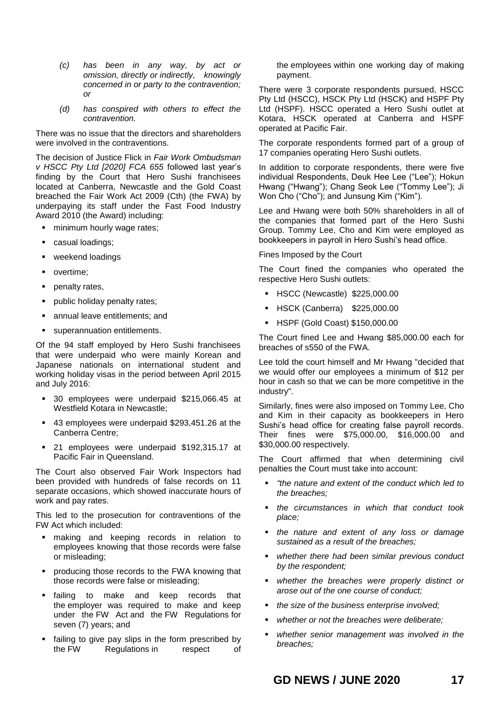- *(c) has been in any way, by act or omission, [directly](http://classic.austlii.edu.au/au/legis/cth/consol_act/fwa2009114/s12.html#directly) or [indirectly,](http://classic.austlii.edu.au/au/legis/cth/consol_act/fwa2009114/s12.html#indirectly) knowingly concerned in or party to the contravention; or*
- *(d) has conspired with others to effect the contravention.*

There was no issue that the directors and shareholders were involved in the contraventions.

The decision of Justice Flick in *Fair Work Ombudsman v HSCC Pty Ltd [2020] FCA 655* followed last year's finding by the Court that Hero Sushi franchisees located at Canberra, Newcastle and the Gold Coast breached the Fair Work Act 2009 (Cth) (the FWA) by underpaying its staff under the Fast Food Industry Award 2010 (the Award) including:

- **ninimum hourly wage rates;**
- **casual loadings;**
- weekend loadings
- overtime;
- **•** penalty rates,
- public holiday penalty rates;
- annual leave entitlements; and
- superannuation entitlements.

Of the 94 staff employed by Hero Sushi franchisees that were underpaid who were mainly Korean and Japanese nationals on international student and working holiday visas in the period between April 2015 and July 2016:

- 30 employees were underpaid \$215,066.45 at Westfield Kotara in Newcastle:
- 43 employees were underpaid \$293,451.26 at the Canberra Centre;
- 21 employees were underpaid \$192,315,17 at Pacific Fair in Queensland.

The Court also observed Fair Work Inspectors had been provided with hundreds of false records on 11 separate occasions, which showed inaccurate hours of work and pay rates.

This led to the prosecution for contraventions of the FW Act which included:

- making and keeping records in relation to employees knowing that those records were false or misleading;
- producing those records to the FWA knowing that those records were false or misleading;
- failing to make and keep records that the employer was required to make and keep under the FW Act and the FW Regulations for seven (7) years; and
- failing to give pay slips in the form prescribed by the FW Regulations in respect of

the employees within one working day of making payment.

There were 3 corporate respondents pursued, HSCC Pty Ltd (HSCC), HSCK Pty Ltd (HSCK) and HSPF Pty Ltd (HSPF). HSCC operated a Hero Sushi outlet at Kotara, HSCK operated at Canberra and HSPF operated at Pacific Fair.

The corporate respondents formed part of a group of 17 companies operating Hero Sushi outlets.

In addition to corporate respondents, there were five individual Respondents, Deuk Hee Lee ("Lee"); Hokun Hwang ("Hwang"); Chang Seok Lee ("Tommy Lee"); Ji Won Cho ("Cho"); and Junsung Kim ("Kim").

Lee and Hwang were both 50% shareholders in all of the companies that formed part of the Hero Sushi Group. Tommy Lee, Cho and Kim were employed as bookkeepers in payroll in Hero Sushi's head office.

Fines Imposed by the Court

The Court fined the companies who operated the respective Hero Sushi outlets:

- **HSCC (Newcastle) \$225,000.00**
- **HSCK (Canberra) \$225,000.00**
- HSPF (Gold Coast) \$150,000.00

The Court fined Lee and Hwang \$85,000.00 each for breaches of s550 of the FWA.

Lee told the court himself and Mr Hwang "decided that we would offer our employees a minimum of \$12 per hour in cash so that we can be more competitive in the industry".

Similarly, fines were also imposed on Tommy Lee, Cho and Kim in their capacity as bookkeepers in Hero Sushi's head office for creating false payroll records. Their fines were \$75,000.00, \$16,000.00 and \$30,000.00 respectively.

The Court affirmed that when determining civil penalties the Court must take into account:

- *"the nature and extent of the conduct which led to the breaches;*
- *the circumstances in which that conduct took place;*
- *the nature and extent of any loss or damage sustained as a result of the breaches;*
- *whether there had been similar previous conduct by the respondent;*
- *whether the breaches were properly distinct or arose out of the one course of conduct;*
- *the size of the business enterprise involved;*
- *whether or not the breaches were deliberate;*
- *whether senior management was involved in the breaches;*

**GD NEWS / {DTN\S1952013:1} JUNE 2020 GDGHDDDD17**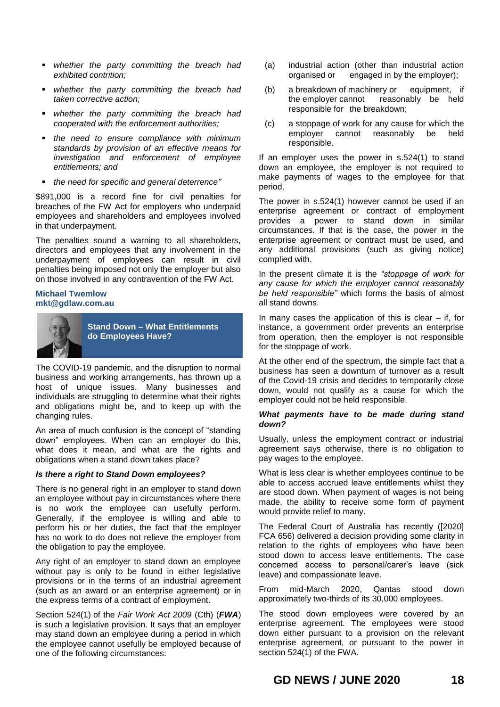- *whether the party committing the breach had exhibited contrition;*
- *whether the party committing the breach had taken corrective action;*
- *whether the party committing the breach had cooperated with the enforcement authorities;*
- *the need to ensure compliance with minimum standards by provision of an effective means for investigation and enforcement of employee entitlements; and*
- *the need for specific and general deterrence"*

\$891,000 is a record fine for civil penalties for breaches of the FW Act for employers who underpaid employees and shareholders and employees involved in that underpayment.

The penalties sound a warning to all shareholders, directors and employees that any involvement in the underpayment of employees can result in civil penalties being imposed not only the employer but also on those involved in any contravention of the FW Act.

### **Michael Twemlow [mkt@gdlaw.com.au](mailto:mkt@gdlaw.com.au)**



**Stand Down – What Entitlements do Employees Have?**

The COVID-19 pandemic, and the disruption to normal business and working arrangements, has thrown up a host of unique issues. Many businesses and individuals are struggling to determine what their rights and obligations might be, and to keep up with the changing rules.

An area of much confusion is the concept of "standing down" employees. When can an employer do this, what does it mean, and what are the rights and obligations when a stand down takes place?

# *Is there a right to Stand Down employees?*

There is no general right in an employer to stand down an employee without pay in circumstances where there is no work the employee can usefully perform. Generally, if the employee is willing and able to perform his or her duties, the fact that the employer has no work to do does not relieve the employer from the obligation to pay the employee.

Any right of an employer to stand down an employee without pay is only to be found in either legislative provisions or in the terms of an industrial agreement (such as an award or an enterprise agreement) or in the express terms of a contract of employment.

Section 524(1) of the *Fair Work Act 2009* (Cth) (*FWA*) is such a legislative provision. It says that an employer may stand down an employee during a period in which the employee cannot usefully be employed because of one of the following circumstances:

- (a) industrial action (other than industrial action organised or engaged in by the employer);
- (b) a breakdown of machinery or equipment, if the employer cannot reasonably be held responsible for the breakdown;
- (c) a stoppage of work for any cause for which the employer cannot reasonably be held responsible.

If an employer uses the power in s.524(1) to stand down an employee, the employer is not required to make payments of wages to the employee for that period.

The power in s.524(1) however cannot be used if an enterprise agreement or contract of employment provides a power to stand down in similar circumstances. If that is the case, the power in the enterprise agreement or contract must be used, and any additional provisions (such as giving notice) complied with.

In the present climate it is the *"stoppage of work for any cause for which the employer cannot reasonably be held responsible"* which forms the basis of almost all stand downs.

In many cases the application of this is clear  $-$  if, for instance, a government order prevents an enterprise from operation, then the employer is not responsible for the stoppage of work.

At the other end of the spectrum, the simple fact that a business has seen a downturn of turnover as a result of the Covid-19 crisis and decides to temporarily close down, would not qualify as a cause for which the employer could not be held responsible.

# *What payments have to be made during stand down?*

Usually, unless the employment contract or industrial agreement says otherwise, there is no obligation to pay wages to the employee.

What is less clear is whether employees continue to be able to access accrued leave entitlements whilst they are stood down. When payment of wages is not being made, the ability to receive some form of payment would provide relief to many.

The Federal Court of Australia has recently ([2020] FCA 656) delivered a decision providing some clarity in relation to the rights of employees who have been stood down to access leave entitlements. The case concerned access to personal/carer's leave (sick leave) and compassionate leave.

From mid-March 2020, Qantas stood down approximately two-thirds of its 30,000 employees.

The stood down employees were covered by an enterprise agreement. The employees were stood down either pursuant to a provision on the relevant enterprise agreement, or pursuant to the power in section 524(1) of the FWA.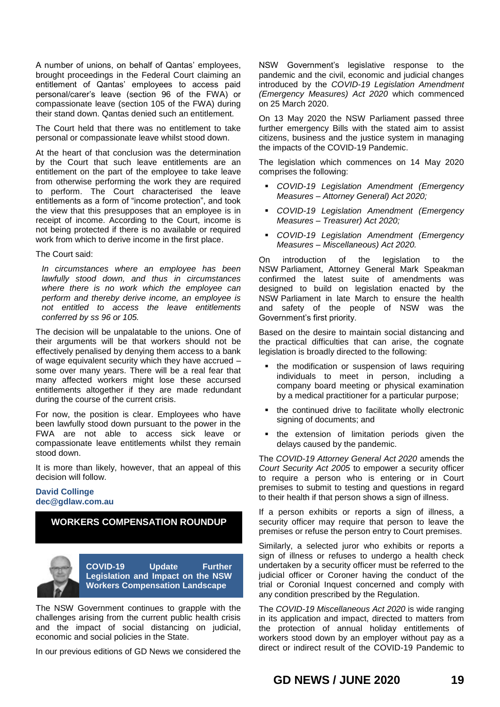A number of unions, on behalf of Qantas' employees, brought proceedings in the Federal Court claiming an entitlement of Qantas' employees to access paid personal/carer's leave (section 96 of the FWA) or compassionate leave (section 105 of the FWA) during their stand down. Qantas denied such an entitlement.

The Court held that there was no entitlement to take personal or compassionate leave whilst stood down.

At the heart of that conclusion was the determination by the Court that such leave entitlements are an entitlement on the part of the employee to take leave from otherwise performing the work they are required to perform. The Court characterised the leave entitlements as a form of "income protection", and took the view that this presupposes that an employee is in receipt of income. According to the Court, income is not being protected if there is no available or required work from which to derive income in the first place.

The Court said:

*In circumstances where an employee has been lawfully stood down, and thus in circumstances where there is no work which the employee can perform and thereby derive income, an employee is not entitled to access the leave entitlements conferred by ss 96 or 105.*

The decision will be unpalatable to the unions. One of their arguments will be that workers should not be effectively penalised by denying them access to a bank of wage equivalent security which they have accrued – some over many years. There will be a real fear that many affected workers might lose these accursed entitlements altogether if they are made redundant during the course of the current crisis.

For now, the position is clear. Employees who have been lawfully stood down pursuant to the power in the FWA are not able to access sick leave or compassionate leave entitlements whilst they remain stood down.

It is more than likely, however, that an appeal of this decision will follow.

# **David Collinge dec@gdlaw.com.au**

# **WORKERS COMPENSATION ROUNDUP**



The NSW Government continues to grapple with the challenges arising from the current public health crisis and the impact of social distancing on judicial, economic and social policies in the State.

In our previous editions of GD News we considered the

NSW Government's legislative response to the pandemic and the civil, economic and judicial changes introduced by the *COVID-19 Legislation Amendment (Emergency Measures) Act 2020* which commenced on 25 March 2020.

On 13 May 2020 the NSW Parliament passed three further emergency Bills with the stated aim to assist citizens, business and the justice system in managing the impacts of the COVID-19 Pandemic.

The legislation which commences on 14 May 2020 comprises the following:

- *COVID-19 Legislation Amendment (Emergency Measures – Attorney General) Act 2020;*
- *COVID-19 Legislation Amendment (Emergency Measures – Treasurer) Act 2020;*
- *COVID-19 Legislation Amendment (Emergency Measures – Miscellaneous) Act 2020.*

On introduction of the legislation to the NSW Parliament, Attorney General Mark Speakman confirmed the latest suite of amendments was designed to build on legislation enacted by the NSW Parliament in late March to ensure the health and safety of the people of NSW was the Government's first priority.

Based on the desire to maintain social distancing and the practical difficulties that can arise, the cognate legislation is broadly directed to the following:

- the modification or suspension of laws requiring individuals to meet in person, including a company board meeting or physical examination by a medical practitioner for a particular purpose;
- the continued drive to facilitate wholly electronic signing of documents; and
- the extension of limitation periods given the delays caused by the pandemic.

The *COVID-19 Attorney General Act 2020* amends the *Court Security Act 2005* to empower a security officer to require a person who is entering or in Court premises to submit to testing and questions in regard to their health if that person shows a sign of illness.

If a person exhibits or reports a sign of illness, a security officer may require that person to leave the premises or refuse the person entry to Court premises.

Similarly, a selected juror who exhibits or reports a sign of illness or refuses to undergo a health check undertaken by a security officer must be referred to the judicial officer or Coroner having the conduct of the trial or Coronial Inquest concerned and comply with any condition prescribed by the Regulation.

The *COVID-19 Miscellaneous Act 2020* is wide ranging in its application and impact, directed to matters from the protection of annual holiday entitlements of workers stood down by an employer without pay as a direct or indirect result of the COVID-19 Pandemic to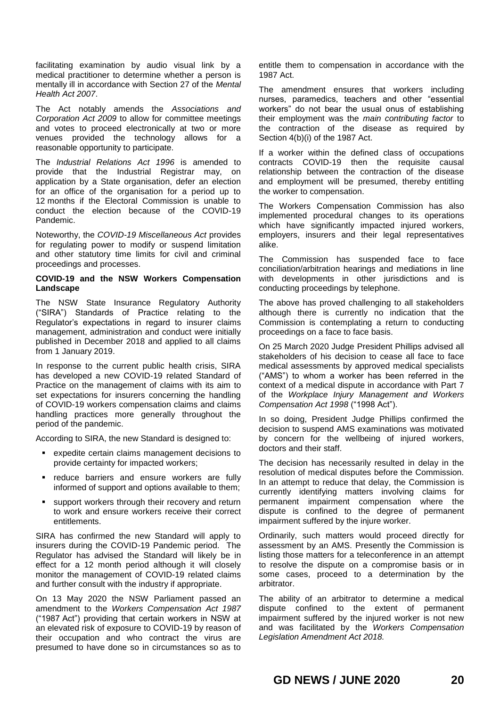facilitating examination by audio visual link by a medical practitioner to determine whether a person is mentally ill in accordance with Section 27 of the *Mental Health Act 2007*.

The Act notably amends the *Associations and Corporation Act 2009* to allow for committee meetings and votes to proceed electronically at two or more venues provided the technology allows for a reasonable opportunity to participate.

The *Industrial Relations Act 1996* is amended to provide that the Industrial Registrar may, on application by a State organisation, defer an election for an office of the organisation for a period up to 12 months if the Electoral Commission is unable to conduct the election because of the COVID-19 Pandemic.

Noteworthy, the *COVID-19 Miscellaneous Act* provides for regulating power to modify or suspend limitation and other statutory time limits for civil and criminal proceedings and processes.

# **COVID-19 and the NSW Workers Compensation Landscape**

The NSW State Insurance Regulatory Authority ("SIRA") Standards of Practice relating to the Regulator's expectations in regard to insurer claims management, administration and conduct were initially published in December 2018 and applied to all claims from 1 January 2019.

In response to the current public health crisis, SIRA has developed a new COVID-19 related Standard of Practice on the management of claims with its aim to set expectations for insurers concerning the handling of COVID-19 workers compensation claims and claims handling practices more generally throughout the period of the pandemic.

According to SIRA, the new Standard is designed to:

- expedite certain claims management decisions to provide certainty for impacted workers;
- **•** reduce barriers and ensure workers are fully informed of support and options available to them;
- support workers through their recovery and return to work and ensure workers receive their correct entitlements.

SIRA has confirmed the new Standard will apply to insurers during the COVID-19 Pandemic period. The Regulator has advised the Standard will likely be in effect for a 12 month period although it will closely monitor the management of COVID-19 related claims and further consult with the industry if appropriate.

On 13 May 2020 the NSW Parliament passed an amendment to the *Workers Compensation Act 1987* ("1987 Act") providing that certain workers in NSW at an elevated risk of exposure to COVID-19 by reason of their occupation and who contract the virus are presumed to have done so in circumstances so as to

entitle them to compensation in accordance with the 1987 Act.

The amendment ensures that workers including nurses, paramedics, teachers and other "essential workers" do not bear the usual onus of establishing their employment was the *main contributing factor* to the contraction of the disease as required by Section 4(b)(i) of the 1987 Act.

If a worker within the defined class of occupations contracts COVID-19 then the requisite causal relationship between the contraction of the disease and employment will be presumed, thereby entitling the worker to compensation.

The Workers Compensation Commission has also implemented procedural changes to its operations which have significantly impacted injured workers, employers, insurers and their legal representatives alike.

The Commission has suspended face to face conciliation/arbitration hearings and mediations in line with developments in other jurisdictions and is conducting proceedings by telephone.

The above has proved challenging to all stakeholders although there is currently no indication that the Commission is contemplating a return to conducting proceedings on a face to face basis.

On 25 March 2020 Judge President Phillips advised all stakeholders of his decision to cease all face to face medical assessments by approved medical specialists ("AMS") to whom a worker has been referred in the context of a medical dispute in accordance with Part 7 of the *Workplace Injury Management and Workers Compensation Act 1998* ("1998 Act").

In so doing, President Judge Phillips confirmed the decision to suspend AMS examinations was motivated by concern for the wellbeing of injured workers, doctors and their staff.

The decision has necessarily resulted in delay in the resolution of medical disputes before the Commission. In an attempt to reduce that delay, the Commission is currently identifying matters involving claims for permanent impairment compensation where the dispute is confined to the degree of permanent impairment suffered by the injure worker.

Ordinarily, such matters would proceed directly for assessment by an AMS. Presently the Commission is listing those matters for a teleconference in an attempt to resolve the dispute on a compromise basis or in some cases, proceed to a determination by the arbitrator.

The ability of an arbitrator to determine a medical dispute confined to the extent of permanent impairment suffered by the injured worker is not new and was facilitated by the *Workers Compensation Legislation Amendment Act 2018.*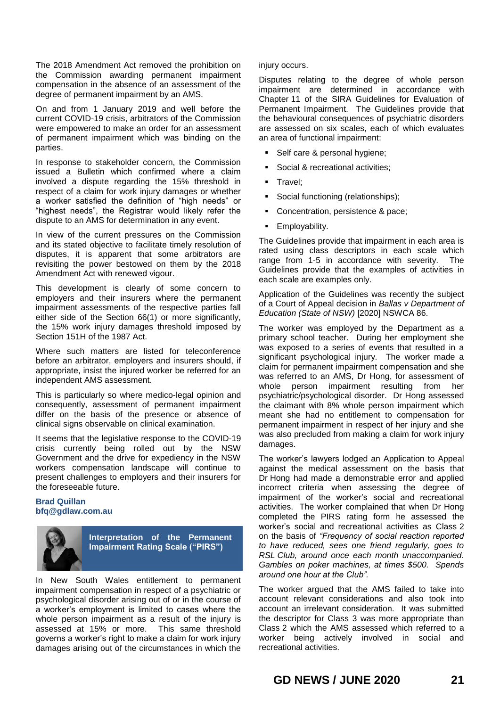The 2018 Amendment Act removed the prohibition on the Commission awarding permanent impairment compensation in the absence of an assessment of the degree of permanent impairment by an AMS.

On and from 1 January 2019 and well before the current COVID-19 crisis, arbitrators of the Commission were empowered to make an order for an assessment of permanent impairment which was binding on the parties.

In response to stakeholder concern, the Commission issued a Bulletin which confirmed where a claim involved a dispute regarding the 15% threshold in respect of a claim for work injury damages or whether a worker satisfied the definition of "high needs" or "highest needs", the Registrar would likely refer the dispute to an AMS for determination in any event.

In view of the current pressures on the Commission and its stated objective to facilitate timely resolution of disputes, it is apparent that some arbitrators are revisiting the power bestowed on them by the 2018 Amendment Act with renewed vigour.

This development is clearly of some concern to employers and their insurers where the permanent impairment assessments of the respective parties fall either side of the Section 66(1) or more significantly, the 15% work injury damages threshold imposed by Section 151H of the 1987 Act.

Where such matters are listed for teleconference before an arbitrator, employers and insurers should, if appropriate, insist the injured worker be referred for an independent AMS assessment.

This is particularly so where medico-legal opinion and consequently, assessment of permanent impairment differ on the basis of the presence or absence of clinical signs observable on clinical examination.

It seems that the legislative response to the COVID-19 crisis currently being rolled out by the NSW Government and the drive for expediency in the NSW workers compensation landscape will continue to present challenges to employers and their insurers for the foreseeable future.

# **Brad Quillan bfq@gdlaw.com.au**



**Interpretation of the Permanent Impairment Rating Scale ("PIRS")**

In New South Wales entitlement to permanent impairment compensation in respect of a psychiatric or psychological disorder arising out of or in the course of a worker's employment is limited to cases where the whole person impairment as a result of the injury is assessed at 15% or more. This same threshold governs a worker's right to make a claim for work injury damages arising out of the circumstances in which the

# injury occurs.

Disputes relating to the degree of whole person impairment are determined in accordance with Chapter 11 of the SIRA Guidelines for Evaluation of Permanent Impairment. The Guidelines provide that the behavioural consequences of psychiatric disorders are assessed on six scales, each of which evaluates an area of functional impairment:

- Self care & personal hygiene;
- Social & recreational activities:
- Travel;
- Social functioning (relationships);
- Concentration, persistence & pace;
- **Employability.**

The Guidelines provide that impairment in each area is rated using class descriptors in each scale which range from 1-5 in accordance with severity. The Guidelines provide that the examples of activities in each scale are examples only.

Application of the Guidelines was recently the subject of a Court of Appeal decision in *Ballas v Department of Education (State of NSW)* [2020] NSWCA 86.

The worker was employed by the Department as a primary school teacher. During her employment she was exposed to a series of events that resulted in a significant psychological injury. The worker made a claim for permanent impairment compensation and she was referred to an AMS, Dr Hong, for assessment of whole person impairment resulting from her psychiatric/psychological disorder. Dr Hong assessed the claimant with 8% whole person impairment which meant she had no entitlement to compensation for permanent impairment in respect of her injury and she was also precluded from making a claim for work injury damages.

The worker's lawyers lodged an Application to Appeal against the medical assessment on the basis that Dr Hong had made a demonstrable error and applied incorrect criteria when assessing the degree of impairment of the worker's social and recreational activities. The worker complained that when Dr Hong completed the PIRS rating form he assessed the worker's social and recreational activities as Class 2 on the basis of *"Frequency of social reaction reported to have reduced, sees one friend regularly, goes to RSL Club, around once each month unaccompanied. Gambles on poker machines, at times \$500. Spends around one hour at the Club".*

The worker argued that the AMS failed to take into account relevant considerations and also took into account an irrelevant consideration. It was submitted the descriptor for Class 3 was more appropriate than Class 2 which the AMS assessed which referred to a worker being actively involved in social and recreational activities.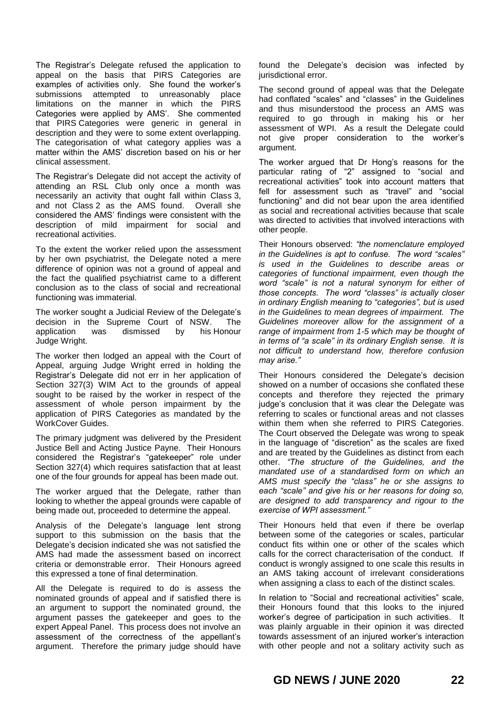The Registrar's Delegate refused the application to appeal on the basis that PIRS Categories are examples of activities only. She found the worker's submissions attempted to unreasonably place limitations on the manner in which the PIRS Categories were applied by AMS'. She commented that PIRS Categories were generic in general in description and they were to some extent overlapping. The categorisation of what category applies was a matter within the AMS' discretion based on his or her clinical assessment.

The Registrar's Delegate did not accept the activity of attending an RSL Club only once a month was necessarily an activity that ought fall within Class 3, and not Class 2 as the AMS found. Overall she considered the AMS' findings were consistent with the description of mild impairment for social and recreational activities.

To the extent the worker relied upon the assessment by her own psychiatrist, the Delegate noted a mere difference of opinion was not a ground of appeal and the fact the qualified psychiatrist came to a different conclusion as to the class of social and recreational functioning was immaterial.

The worker sought a Judicial Review of the Delegate's decision in the Supreme Court of NSW. The application was dismissed by his Honour Judge Wright.

The worker then lodged an appeal with the Court of Appeal, arguing Judge Wright erred in holding the Registrar's Delegate did not err in her application of Section 327(3) WIM Act to the grounds of appeal sought to be raised by the worker in respect of the assessment of whole person impairment by the application of PIRS Categories as mandated by the WorkCover Guides.

The primary judgment was delivered by the President Justice Bell and Acting Justice Payne. Their Honours considered the Registrar's "gatekeeper" role under Section 327(4) which requires satisfaction that at least one of the four grounds for appeal has been made out.

The worker argued that the Delegate, rather than looking to whether the appeal grounds were capable of being made out, proceeded to determine the appeal.

Analysis of the Delegate's language lent strong support to this submission on the basis that the Delegate's decision indicated she was not satisfied the AMS had made the assessment based on incorrect criteria or demonstrable error. Their Honours agreed this expressed a tone of final determination.

All the Delegate is required to do is assess the nominated grounds of appeal and if satisfied there is an argument to support the nominated ground, the argument passes the gatekeeper and goes to the expert Appeal Panel. This process does not involve an assessment of the correctness of the appellant's argument. Therefore the primary judge should have

found the Delegate's decision was infected by jurisdictional error.

The second ground of appeal was that the Delegate had conflated "scales" and "classes" in the Guidelines and thus misunderstood the process an AMS was required to go through in making his or her assessment of WPI. As a result the Delegate could not give proper consideration to the worker's argument.

The worker argued that Dr Hong's reasons for the particular rating of "2" assigned to "social and recreational activities" took into account matters that fell for assessment such as "travel" and "social functioning" and did not bear upon the area identified as social and recreational activities because that scale was directed to activities that involved interactions with other people.

Their Honours observed: *"the nomenclature employed in the Guidelines is apt to confuse. The word "scales" is used in the Guidelines to describe areas or categories of functional impairment, even though the word "scale" is not a natural synonym for either of those concepts. The word "classes" is actually closer in ordinary English meaning to "categories", but is used in the Guidelines to mean degrees of impairment. The Guidelines moreover allow for the assignment of a range of impairment from 1-5 which may be thought of in terms of "a scale" in its ordinary English sense. It is not difficult to understand how, therefore confusion may arise."*

Their Honours considered the Delegate's decision showed on a number of occasions she conflated these concepts and therefore they rejected the primary judge's conclusion that it was clear the Delegate was referring to scales or functional areas and not classes within them when she referred to PIRS Categories. The Court observed the Delegate was wrong to speak in the language of "discretion" as the scales are fixed and are treated by the Guidelines as distinct from each other. *"The structure of the Guidelines, and the mandated use of a standardised form on which an AMS must specify the "class" he or she assigns to each "scale" and give his or her reasons for doing so, are designed to add transparency and rigour to the exercise of WPI assessment."*

Their Honours held that even if there be overlap between some of the categories or scales, particular conduct fits within one or other of the scales which calls for the correct characterisation of the conduct. If conduct is wrongly assigned to one scale this results in an AMS taking account of irrelevant considerations when assigning a class to each of the distinct scales.

In relation to "Social and recreational activities" scale, their Honours found that this looks to the injured worker's degree of participation in such activities. It was plainly arguable in their opinion it was directed towards assessment of an injured worker's interaction with other people and not a solitary activity such as